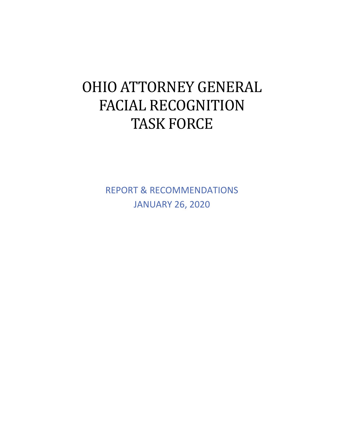# OHIO ATTORNEY GENERAL FACIAL RECOGNITION TASK FORCE

REPORT & RECOMMENDATIONS JANUARY 26, 2020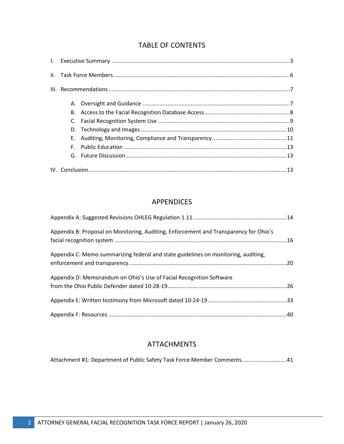# TABLE OF CONTENTS

# APPENDICES

| Appendix B: Proposal on Monitoring, Auditing, Enforcement and Transparency for Ohio's |  |
|---------------------------------------------------------------------------------------|--|
| Appendix C: Memo summarizing federal and state guidelines on monitoring, auditing,    |  |
| Appendix D: Memorandum on Ohio's Use of Facial Recognition Software                   |  |
|                                                                                       |  |
|                                                                                       |  |
|                                                                                       |  |

# ATTACHMENTS

| Attachment #1: Department of Public Safety Task Force Member Comments 41 |  |
|--------------------------------------------------------------------------|--|
|                                                                          |  |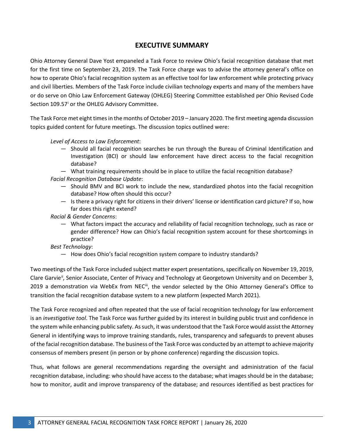# **EXECUTIVE SUMMARY**

Ohio Attorney General Dave Yost empaneled a Task Force to review Ohio's facial recognition database that met for the first time on September 23, 2019. The Task Force charge was to advise the attorney general's office on how to operate Ohio's facial recognition system as an effective tool for law enforcement while protecting privacy and civil liberties. Members of the Task Force include civilian technology experts and many of the members have or do serve on Ohio Law Enforcement Gateway (OHLEG) Steering Committee established per Ohio Revised Code Sect[i](#page-43-0)on 109.57<sup>i</sup> or the OHLEG Advisory Committee.

The Task Force met eight times in the months of October 2019 – January 2020. The first meeting agenda discussion topics guided content for future meetings. The discussion topics outlined were:

*Level of Access to Law Enforcement*:

- ― Should all facial recognition searches be run through the Bureau of Criminal Identification and Investigation (BCI) or should law enforcement have direct access to the facial recognition database?
- ― What training requirements should be in place to utilize the facial recognition database? *Facial Recognition Database Update*:
	- ― Should BMV and BCI work to include the new, standardized photos into the facial recognition database? How often should this occur?
	- ― Is there a privacy right for citizens in their drivers' license or identification card picture? If so, how far does this right extend?

*Racial & Gender Concerns*:

― What factors impact the accuracy and reliability of facial recognition technology, such as race or gender difference? How can Ohio's facial recognition system account for these shortcomings in practice?

*Best Technology*:

― How does Ohio's facial recognition system compare to industry standards?

Two meetings of the Task Force included subject matter expert presentations, specifically on November 19, 2019, Clare Garvie<sup>[ii](#page-43-1)</sup>, Senior Associate, Center of Privacy and Technology at Georgetown University and on December 3, 2019 a demonstration via WebEx from NEC<sup>iii</sup>, the vendor selected by the Ohio Attorney General's Office to transition the facial recognition database system to a new platform (expected March 2021).

The Task Force recognized and often repeated that the use of facial recognition technology for law enforcement is an *investigative tool*. The Task Force was further guided by its interest in building public trust and confidence in the system while enhancing public safety. As such, it was understood that the Task Force would assist the Attorney General in identifying ways to improve training standards, rules, transparency and safeguards to prevent abuses of the facial recognition database. The business of the Task Force was conducted by an attempt to achieve majority consensus of members present (in person or by phone conference) regarding the discussion topics.

Thus, what follows are general recommendations regarding the oversight and administration of the facial recognition database, including: who should have access to the database; what images should be in the database; how to monitor, audit and improve transparency of the database; and resources identified as best practices for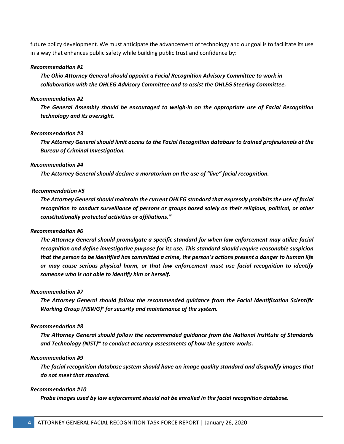future policy development. We must anticipate the advancement of technology and our goal is to facilitate its use in a way that enhances public safety while building public trust and confidence by:

#### *Recommendation #1*

*The Ohio Attorney General should appoint a Facial Recognition Advisory Committee to work in collaboration with the OHLEG Advisory Committee and to assist the OHLEG Steering Committee.*

#### *Recommendation #2*

*The General Assembly should be encouraged to weigh-in on the appropriate use of Facial Recognition technology and its oversight.*

#### *Recommendation #3*

*The Attorney General should limit access to the Facial Recognition database to trained professionals at the Bureau of Criminal Investigation.* 

#### *Recommendation #4*

*The Attorney General should declare a moratorium on the use of "live" facial recognition.* 

#### *Recommendation #5*

*The Attorney General should maintain the current OHLEG standard that expressly prohibits the use of facial recognition to conduct surveillance of persons or groups based solely on their religious, political, or other constitutionally protected activities or affiliations. [iv](#page-43-3)*

#### *Recommendation #6*

*The Attorney General should promulgate a specific standard for when law enforcement may utilize facial recognition and define investigative purpose for its use. This standard should require reasonable suspicion that the person to be identified has committed a crime, the person's actions present a danger to human life or may cause serious physical harm, or that law enforcement must use facial recognition to identify someone who is not able to identify him or herself.*

#### *Recommendation #7*

*The Attorney General should follow the recommended guidance from the Facial Identification Scientific Working Group (FISWG)[v](#page-43-4) for security and maintenance of the system.*

#### *Recommendation #8*

*The Attorney General should follow the recommended guidance from the National Institute of Standards and Technology (NIST)[vi](#page-43-5) to conduct accuracy assessments of how the system works.*

#### *Recommendation #9*

*The facial recognition database system should have an image quality standard and disqualify images that do not meet that standard.* 

#### *Recommendation #10*

*Probe images used by law enforcement should not be enrolled in the facial recognition database.*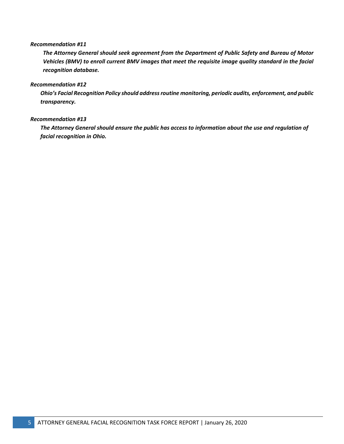#### *Recommendation #11*

*The Attorney General should seek agreement from the Department of Public Safety and Bureau of Motor Vehicles (BMV) to enroll current BMV images that meet the requisite image quality standard in the facial recognition database.*

#### *Recommendation #12*

*Ohio's Facial Recognition Policy should address routine monitoring, periodic audits, enforcement, and public transparency.*

#### *Recommendation #13*

*The Attorney General should ensure the public has access to information about the use and regulation of facial recognition in Ohio.*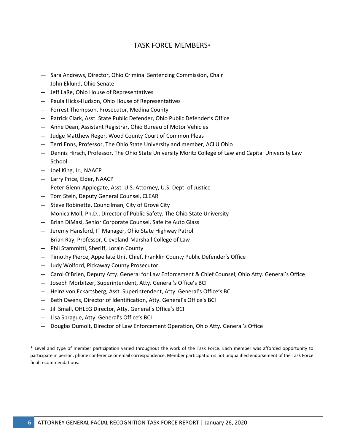# TASK FORCE MEMBERS\*

- ― Sara Andrews, Director, Ohio Criminal Sentencing Commission, Chair
- ― John Eklund, Ohio Senate
- ― Jeff LaRe, Ohio House of Representatives
- ― Paula Hicks-Hudson, Ohio House of Representatives
- ― Forrest Thompson, Prosecutor, Medina County
- ― Patrick Clark, Asst. State Public Defender, Ohio Public Defender's Office
- ― Anne Dean, Assistant Registrar, Ohio Bureau of Motor Vehicles
- ― Judge Matthew Reger, Wood County Court of Common Pleas
- ― Terri Enns, Professor, The Ohio State University and member, ACLU Ohio
- ― Dennis Hirsch, Professor, The Ohio State University Moritz College of Law and Capital University Law School
- ― Joel King, Jr., NAACP
- ― Larry Price, Elder, NAACP
- ― Peter Glenn-Applegate, Asst. U.S. Attorney, U.S. Dept. of Justice
- ― Tom Stein, Deputy General Counsel, CLEAR
- ― Steve Robinette, Councilman, City of Grove City
- ― Monica Moll, Ph.D., Director of Public Safety, The Ohio State University
- ― Brian DiMasi, Senior Corporate Counsel, Safelite Auto Glass
- ― Jeremy Hansford, IT Manager, Ohio State Highway Patrol
- ― Brian Ray, Professor, Cleveland-Marshall College of Law
- ― Phil Stammitti, Sheriff, Lorain County
- ― Timothy Pierce, Appellate Unit Chief, Franklin County Public Defender's Office
- ― Judy Wolford, Pickaway County Prosecutor
- ― Carol O'Brien, Deputy Atty. General for Law Enforcement & Chief Counsel, Ohio Atty. General's Office
- ― Joseph Morbitzer, Superintendent, Atty. General's Office's BCI
- ― Heinz von Eckartsberg, Asst. Superintendent, Atty. General's Office's BCI
- ― Beth Owens, Director of Identification, Atty. General's Office's BCI
- ― Jill Small, OHLEG Director, Atty. General's Office's BCI
- ― Lisa Sprague, Atty. General's Office's BCI
- ― Douglas Dumolt, Director of Law Enforcement Operation, Ohio Atty. General's Office

\* Level and type of member participation varied throughout the work of the Task Force. Each member was afforded opportunity to participate in person, phone conference or email correspondence. Member participation is not unqualified endorsement of the Task Force final recommendations.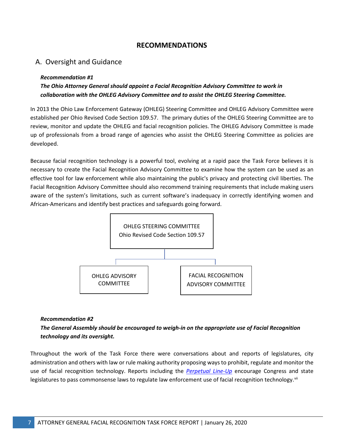## **RECOMMENDATIONS**

# A. Oversight and Guidance

#### *Recommendation #1*

## *The Ohio Attorney General should appoint a Facial Recognition Advisory Committee to work in collaboration with the OHLEG Advisory Committee and to assist the OHLEG Steering Committee.*

In 2013 the Ohio Law Enforcement Gateway (OHLEG) Steering Committee and OHLEG Advisory Committee were established per Ohio Revised Code Section 109.57. The primary duties of the OHLEG Steering Committee are to review, monitor and update the OHLEG and facial recognition policies. The OHLEG Advisory Committee is made up of professionals from a broad range of agencies who assist the OHLEG Steering Committee as policies are developed.

Because facial recognition technology is a powerful tool, evolving at a rapid pace the Task Force believes it is necessary to create the Facial Recognition Advisory Committee to examine how the system can be used as an effective tool for law enforcement while also maintaining the public's privacy and protecting civil liberties. The Facial Recognition Advisory Committee should also recommend training requirements that include making users aware of the system's limitations, such as current software's inadequacy in correctly identifying women and African-Americans and identify best practices and safeguards going forward.



#### *Recommendation #2*

# *The General Assembly should be encouraged to weigh-in on the appropriate use of Facial Recognition technology and its oversight.*

Throughout the work of the Task Force there were conversations about and reports of legislatures, city administration and others with law or rule making authority proposing ways to prohibit, regulate and monitor the use of facial recognition technology. Reports including the *[Perpetual Line-Up](https://www.perpetuallineup.org/)* encourage Congress and state legislatures to pass commonsense laws to regulate law enforcement use of facial recognition technology. <sup>[vii](#page-43-6)</sup>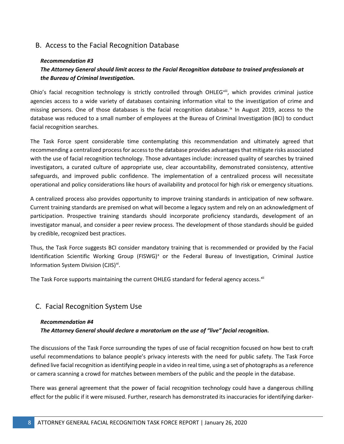# B. Access to the Facial Recognition Database

#### *Recommendation #3*

# *The Attorney General should limit access to the Facial Recognition database to trained professionals at the Bureau of Criminal Investigation.*

Ohio's facial recognition technology is strictly controlled through OHLEG<sup>[viii](#page-43-7)</sup>, which provides criminal justice agencies access to a wide variety of databases containing information vital to the investigation of crime and missing persons. One of those databases is the facial recognition database.<sup>[ix](#page-43-8)</sup> In August 2019, access to the database was reduced to a small number of employees at the Bureau of Criminal Investigation (BCI) to conduct facial recognition searches.

The Task Force spent considerable time contemplating this recommendation and ultimately agreed that recommending a centralized process for access to the database provides advantages that mitigate risks associated with the use of facial recognition technology. Those advantages include: increased quality of searches by trained investigators, a curated culture of appropriate use, clear accountability, demonstrated consistency, attentive safeguards, and improved public confidence. The implementation of a centralized process will necessitate operational and policy considerations like hours of availability and protocol for high risk or emergency situations.

A centralized process also provides opportunity to improve training standards in anticipation of new software. Current training standards are premised on what will become a legacy system and rely on an acknowledgment of participation. Prospective training standards should incorporate proficiency standards, development of an investigator manual, and consider a peer review process. The development of those standards should be guided by credible, recognized best practices.

Thus, the Task Force suggests BCI consider mandatory training that is recommended or provided by the Facial Identification Scientific Working Group (FISWG)<sup>[x](#page-43-9)</sup> or the Federal Bureau of Investigation, Criminal Justice Information System Division (CJIS)<sup>[xi](#page-43-10)</sup>.

The Task Force supports maintaining the current OHLEG standard for federal agency access.<sup>[xii](#page-43-11)</sup>

# C. Facial Recognition System Use

#### *Recommendation #4*

*The Attorney General should declare a moratorium on the use of "live" facial recognition.* 

The discussions of the Task Force surrounding the types of use of facial recognition focused on how best to craft useful recommendations to balance people's privacy interests with the need for public safety. The Task Force defined live facial recognition as identifying people in a video in real time, using a set of photographs as a reference or camera scanning a crowd for matches between members of the public and the people in the database.

There was general agreement that the power of facial recognition technology could have a dangerous chilling effect for the public if it were misused. Further, research has demonstrated its inaccuracies for identifying darker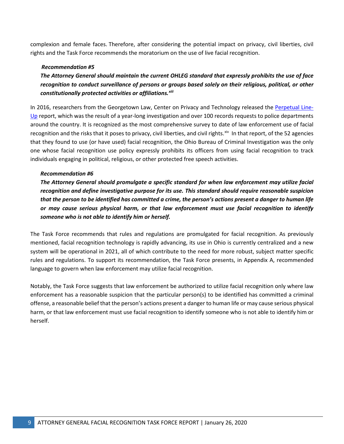complexion and female faces. Therefore, after considering the potential impact on privacy, civil liberties, civil rights and the Task Force recommends the moratorium on the use of live facial recognition.

#### *Recommendation #5*

*The Attorney General should maintain the current OHLEG standard that expressly prohibits the use of face recognition to conduct surveillance of persons or groups based solely on their religious, political, or other constitutionally protected activities or affiliations. [xiii](#page-43-12)*

In 2016, researchers from the Georgetown Law, Center on Privacy and Technology released the [Perpetual Line-](https://www.perpetuallineup.org/)[Up](https://www.perpetuallineup.org/) report, which was the result of a year-long investigation and over 100 records requests to police departments around the country. It is recognized as the most comprehensive survey to date of law enforcement use of facial recognition and the risks that it poses to privacy, civil liberties, and civil rights. $x^i$  In that report, of the 52 agencies that they found to use (or have used) facial recognition, the Ohio Bureau of Criminal Investigation was the only one whose facial recognition use policy expressly prohibits its officers from using facial recognition to track individuals engaging in political, religious, or other protected free speech activities.

#### *Recommendation #6*

*The Attorney General should promulgate a specific standard for when law enforcement may utilize facial recognition and define investigative purpose for its use. This standard should require reasonable suspicion that the person to be identified has committed a crime, the person's actions present a danger to human life or may cause serious physical harm, or that law enforcement must use facial recognition to identify someone who is not able to identify him or herself.*

The Task Force recommends that rules and regulations are promulgated for facial recognition. As previously mentioned, facial recognition technology is rapidly advancing, its use in Ohio is currently centralized and a new system will be operational in 2021, all of which contribute to the need for more robust, subject matter specific rules and regulations. To support its recommendation, the Task Force presents, in Appendix A, recommended language to govern when law enforcement may utilize facial recognition.

Notably, the Task Force suggests that law enforcement be authorized to utilize facial recognition only where law enforcement has a reasonable suspicion that the particular person(s) to be identified has committed a criminal offense, a reasonable belief that the person's actions present a danger to human life or may cause serious physical harm, or that law enforcement must use facial recognition to identify someone who is not able to identify him or herself.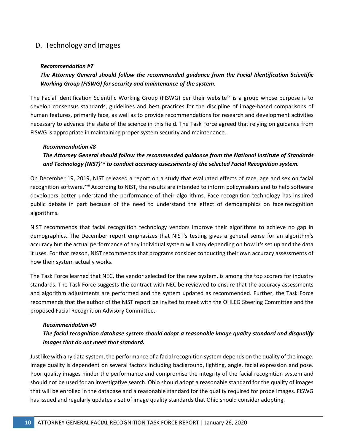# D. Technology and Images

#### *Recommendation #7*

## *The Attorney General should follow the recommended guidance from the Facial Identification Scientific Working Group (FISWG) for security and maintenance of the system.*

The Facial Identification Scientific Working Group (FISWG) per their website<sup>[xv](#page-43-14)</sup> is a group whose purpose is to develop consensus standards, guidelines and best practices for the discipline of image-based comparisons of human features, primarily face, as well as to provide recommendations for research and development activities necessary to advance the state of the science in this field. The Task Force agreed that relying on guidance from FISWG is appropriate in maintaining proper system security and maintenance.

#### *Recommendation #8*

## *The Attorney General should follow the recommended guidance from the National Institute of Standards and Technology (NIST)[xvi](#page-43-15) to conduct accuracy assessments of the selected Facial Recognition system.*

On December 19, 2019, NIST released a report on a study that evaluated effects of race, age and sex on facial recognition software.<sup>[xvii](#page-43-16)</sup> According to NIST, the results are intended to inform policymakers and to help software developers better understand the performance of their algorithms. Face recognition technology has inspired public debate in part because of the need to understand the effect of demographics on face recognition algorithms.

NIST recommends that facial recognition technology vendors improve their algorithms to achieve no gap in demographics. The December report emphasizes that NIST's testing gives a general sense for an algorithm's accuracy but the actual performance of any individual system will vary depending on how it's set up and the data it uses. For that reason, NIST recommends that programs consider conducting their own accuracy assessments of how their system actually works.

The Task Force learned that NEC, the vendor selected for the new system, is among the top scorers for industry standards. The Task Force suggests the contract with NEC be reviewed to ensure that the accuracy assessments and algorithm adjustments are performed and the system updated as recommended. Further, the Task Force recommends that the author of the NIST report be invited to meet with the OHLEG Steering Committee and the proposed Facial Recognition Advisory Committee.

#### *Recommendation #9*

# *The facial recognition database system should adopt a reasonable image quality standard and disqualify images that do not meet that standard.*

Just like with any data system, the performance of a facial recognition system depends on the quality of the image. Image quality is dependent on several factors including background, lighting, angle, facial expression and pose. Poor quality images hinder the performance and compromise the integrity of the facial recognition system and should not be used for an investigative search. Ohio should adopt a reasonable standard for the quality of images that will be enrolled in the database and a reasonable standard for the quality required for probe images. FISWG has issued and regularly updates a set of image quality standards that Ohio should consider adopting.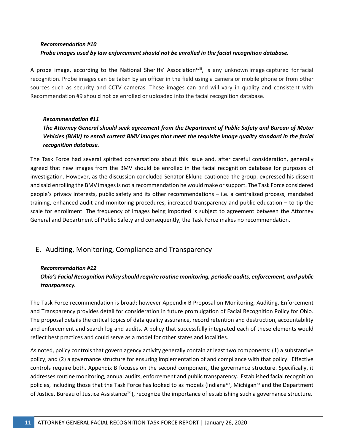# *Recommendation #10 Probe images used by law enforcement should not be enrolled in the facial recognition database.*

A probe image[,](#page-43-17) according to the National Sheriffs' Association<sup>xviii</sup>, is any unknown image captured for facial recognition. Probe images can be taken by an officer in the field using a camera or mobile phone or from other sources such as security and CCTV cameras. These images can and will vary in quality and consistent with Recommendation #9 should not be enrolled or uploaded into the facial recognition database.

#### *Recommendation #11*

# *The Attorney General should seek agreement from the Department of Public Safety and Bureau of Motor Vehicles (BMV) to enroll current BMV images that meet the requisite image quality standard in the facial recognition database.*

The Task Force had several spirited conversations about this issue and, after careful consideration, generally agreed that new images from the BMV should be enrolled in the facial recognition database for purposes of investigation. However, as the discussion concluded Senator Eklund cautioned the group, expressed his dissent and said enrolling the BMV images is not a recommendation he would make or support. The Task Force considered people's privacy interests, public safety and its other recommendations – i.e. a centralized process, mandated training, enhanced audit and monitoring procedures, increased transparency and public education – to tip the scale for enrollment. The frequency of images being imported is subject to agreement between the Attorney General and Department of Public Safety and consequently, the Task Force makes no recommendation.

# E. Auditing, Monitoring, Compliance and Transparency

#### *Recommendation #12*

# *Ohio's Facial Recognition Policy should require routine monitoring, periodic audits, enforcement, and public transparency.*

The Task Force recommendation is broad; however Appendix B Proposal on Monitoring, Auditing, Enforcement and Transparency provides detail for consideration in future promulgation of Facial Recognition Policy for Ohio. The proposal details the critical topics of data quality assurance, record retention and destruction, accountability and enforcement and search log and audits. A policy that successfully integrated each of these elements would reflect best practices and could serve as a model for other states and localities.

As noted, policy controls that govern agency activity generally contain at least two components: (1) a substantive policy; and (2) a governance structure for ensuring implementation of and compliance with that policy. Effective controls require both. Appendix B focuses on the second component, the governance structure. Specifically, it addresses routine monitoring, annual audits, enforcement and public transparency. Established facial recognition policies, including those that the Task Force has looked to as models (Indiana<sup>[xix](#page-43-18)</sup>, Michigan<sup>[xx](#page-43-19)</sup> and the Department of Justice, Bureau of Justice Assistance<sup>[xxi](#page-43-20)</sup>), recognize the importance of establishing such a governance structure.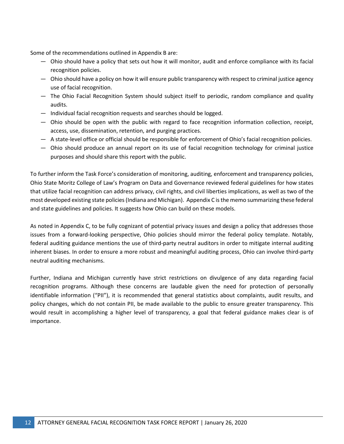Some of the recommendations outlined in Appendix B are:

- ― Ohio should have a policy that sets out how it will monitor, audit and enforce compliance with its facial recognition policies.
- ― Ohio should have a policy on how it will ensure public transparency with respect to criminal justice agency use of facial recognition.
- ― The Ohio Facial Recognition System should subject itself to periodic, random compliance and quality audits.
- ― Individual facial recognition requests and searches should be logged.
- ― Ohio should be open with the public with regard to face recognition information collection, receipt, access, use, dissemination, retention, and purging practices.
- ― A state-level office or official should be responsible for enforcement of Ohio's facial recognition policies.
- ― Ohio should produce an annual report on its use of facial recognition technology for criminal justice purposes and should share this report with the public.

To further inform the Task Force's consideration of monitoring, auditing, enforcement and transparency policies, Ohio State Moritz College of Law's Program on Data and Governance reviewed federal guidelines for how states that utilize facial recognition can address privacy, civil rights, and civil liberties implications, as well as two of the most developed existing state policies (Indiana and Michigan). Appendix C is the memo summarizing these federal and state guidelines and policies. It suggests how Ohio can build on these models.

As noted in Appendix C, to be fully cognizant of potential privacy issues and design a policy that addresses those issues from a forward-looking perspective, Ohio policies should mirror the federal policy template. Notably, federal auditing guidance mentions the use of third-party neutral auditors in order to mitigate internal auditing inherent biases. In order to ensure a more robust and meaningful auditing process, Ohio can involve third-party neutral auditing mechanisms.

Further, Indiana and Michigan currently have strict restrictions on divulgence of any data regarding facial recognition programs. Although these concerns are laudable given the need for protection of personally identifiable information ("PII"), it is recommended that general statistics about complaints, audit results, and policy changes, which do not contain PII, be made available to the public to ensure greater transparency. This would result in accomplishing a higher level of transparency, a goal that federal guidance makes clear is of importance.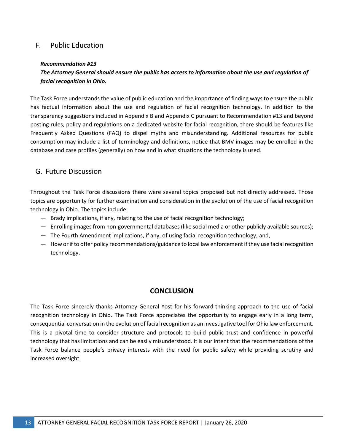# F. Public Education

#### *Recommendation #13*

## *The Attorney General should ensure the public has access to information about the use and regulation of facial recognition in Ohio.*

The Task Force understands the value of public education and the importance of finding ways to ensure the public has factual information about the use and regulation of facial recognition technology. In addition to the transparency suggestions included in Appendix B and Appendix C pursuant to Recommendation #13 and beyond posting rules, policy and regulations on a dedicated website for facial recognition, there should be features like Frequently Asked Questions (FAQ) to dispel myths and misunderstanding. Additional resources for public consumption may include a list of terminology and definitions, notice that BMV images may be enrolled in the database and case profiles (generally) on how and in what situations the technology is used.

## G. Future Discussion

Throughout the Task Force discussions there were several topics proposed but not directly addressed. Those topics are opportunity for further examination and consideration in the evolution of the use of facial recognition technology in Ohio. The topics include:

- ― Brady implications, if any, relating to the use of facial recognition technology;
- ― Enrolling images from non-governmental databases (like social media or other publicly available sources);
- ― The Fourth Amendment implications, if any, of using facial recognition technology; and,
- ― How or if to offer policy recommendations/guidance to local law enforcementif they use facial recognition technology.

## **CONCLUSION**

The Task Force sincerely thanks Attorney General Yost for his forward-thinking approach to the use of facial recognition technology in Ohio. The Task Force appreciates the opportunity to engage early in a long term, consequential conversation in the evolution of facial recognition as an investigative tool for Ohio law enforcement. This is a pivotal time to consider structure and protocols to build public trust and confidence in powerful technology that has limitations and can be easily misunderstood. It is our intent that the recommendations of the Task Force balance people's privacy interests with the need for public safety while providing scrutiny and increased oversight.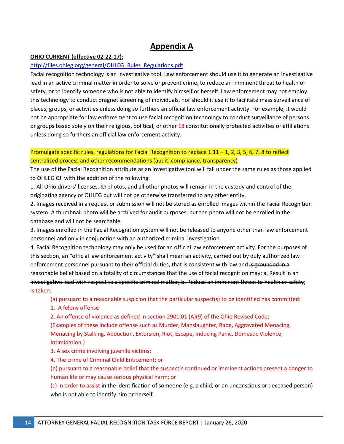# **Appendix A**

#### **OHIO CURRENT (effective 02-22-17):**

#### [http://files.ohleg.org/general/OHLEG\\_Rules\\_Regulations.pdf](http://files.ohleg.org/general/OHLEG_Rules_Regulations.pdf)

Facial recognition technology is an investigative tool. Law enforcement should use it to generate an investigative lead in an active criminal matter in order to solve or prevent crime, to reduce an imminent threat to health or safety, or to identify someone who is not able to identify himself or herself. Law enforcement may not employ this technology to conduct dragnet screening of individuals, nor should it use it to facilitate mass surveillance of places, groups, or activities unless doing so furthers an official law enforcement activity. For example, it would not be appropriate for law enforcement to use facial recognition technology to conduct surveillance of persons or groups based solely on their religious, political, or other 48 constitutionally protected activities or affiliations unless doing so furthers an official law enforcement activity.

## Promulgate specific rules, regulations for Facial Recognition to replace  $1.11 - 1$ ,  $2$ ,  $3$ ,  $5$ ,  $6$ ,  $7$ ,  $8$  to reflect centralized process and other recommendations (audit, compliance, transparency)

The use of the Facial Recognition attribute as an investigative tool will fall under the same rules as those applied to OHLEG CJI with the addition of the following:

1. All Ohio drivers' licenses, ID photos, and all other photos will remain in the custody and control of the originating agency or OHLEG but will not be otherwise transferred to any other entity.

2. Images received in a request or submission will not be stored as enrolled images within the Facial Recognition system. A thumbnail photo will be archived for audit purposes, but the photo will not be enrolled in the database and will not be searchable.

3. Images enrolled in the Facial Recognition system will not be released to anyone other than law enforcement personnel and only in conjunction with an authorized criminal investigation.

4. Facial Recognition technology may only be used for an official law enforcement activity. For the purposes of this section, an "official law enforcement activity" shall mean an activity, carried out by duly authorized law enforcement personnel pursuant to their official duties, that is consistent with law and is grounded in a reasonable belief based on a totality of circumstances that the use of facial recognition may: a. Result in an investigative lead with respect to a specific criminal matter; b. Reduce an imminent threat to health or safety; is taken:

(a) pursuant to a reasonable suspicion that the particular suspect(s) to be identified has committed:

#### 1. A felony offense

2. An offense of violence as defined in section 2901.01 (A)(9) of the Ohio Revised Code; (Examples of these include offense such as Murder, Manslaughter, Rape, Aggravated Menacing, Menacing by Stalking, Abduction, Extorsion, Riot, Escape, Inducing Panic, Domestic Violence,

#### Intimidation.)

3. A sex crime involving juvenile victims;

4. The crime of Criminal Child Enticement; or

(b) pursuant to a reasonable belief that the suspect's continued or imminent actions present a danger to human life or may cause serious physical harm; or

(c) in order to assist in the identification of someone (e.g. a child, or an unconscious or deceased person) who is not able to identify him or herself.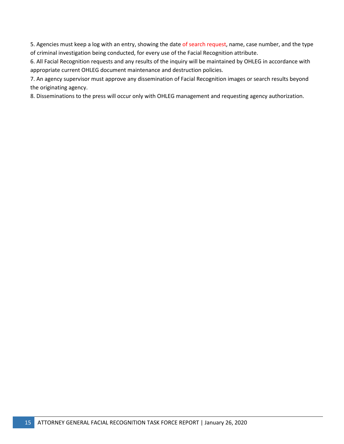5. Agencies must keep a log with an entry, showing the date of search request, name, case number, and the type of criminal investigation being conducted, for every use of the Facial Recognition attribute.

6. All Facial Recognition requests and any results of the inquiry will be maintained by OHLEG in accordance with appropriate current OHLEG document maintenance and destruction policies.

7. An agency supervisor must approve any dissemination of Facial Recognition images or search results beyond the originating agency.

8. Disseminations to the press will occur only with OHLEG management and requesting agency authorization.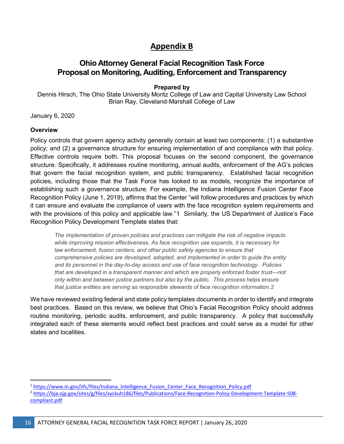# **Appendix B**

# **Ohio Attorney General Facial Recognition Task Force Proposal on Monitoring, Auditing, Enforcement and Transparency**

**Prepared by**

Dennis Hirsch, The Ohio State University Moritz College of Law and Capital University Law School Brian Ray, Cleveland-Marshall College of Law

January 6, 2020

#### **Overview**

Policy controls that govern agency activity generally contain at least two components: (1) a substantive policy; and (2) a governance structure for ensuring implementation of and compliance with that policy. Effective controls require both. This proposal focuses on the second component, the governance structure. Specifically, it addresses routine monitoring, annual audits, enforcement of the AG's policies that govern the facial recognition system, and public transparency. Established facial recognition policies, including those that the Task Force has looked to as models, recognize the importance of establishing such a governance structure. For example, the Indiana Intelligence Fusion Center Face Recognition Policy (June 1, 2019), affirms that the Center "will follow procedures and practices by which it can ensure and evaluate the compliance of users with the face recognition system requirements and with the provisions of this policy and applicable law."[1](#page-15-0) Similarly, the US Department of Justice's Face Recognition Policy Development Template states that:

*The implementation of proven policies and practices can mitigate the risk of negative impacts while improving mission effectiveness. As face recognition use expands, it is necessary for*  law enforcement, fusion centers, and other public safety agencies to ensure that *comprehensive policies are developed, adopted, and implemented in order to guide the entity and its personnel in the day-to-day access and use of face recognition technology. Policies that are developed in a transparent manner and which are properly enforced foster trust—not only within and between justice partners but also by the public. This process helps ensure that justice entities are serving as responsible stewards of face recognition information.[2](#page-15-1)*

We have reviewed existing federal and state policy templates documents in order to identify and integrate best practices. Based on this review, we believe that Ohio's Facial Recognition Policy should address routine monitoring, periodic audits, enforcement, and public transparency. A policy that successfully integrated each of these elements would reflect best practices and could serve as a model for other states and localities.

<span id="page-15-0"></span><sup>&</sup>lt;sup>1</sup> [https://www.in.gov/iifc/files/Indiana\\_Intelligence\\_Fusion\\_Center\\_Face\\_Recognition\\_Policy.pdf](https://www.in.gov/iifc/files/Indiana_Intelligence_Fusion_Center_Face_Recognition_Policy.pdf)

<span id="page-15-1"></span><sup>2</sup> [https://bja.ojp.gov/sites/g/files/xyckuh186/files/Publications/Face-Recognition-Policy-Development-Template-508](https://bja.ojp.gov/sites/g/files/xyckuh186/files/Publications/Face-Recognition-Policy-Development-Template-508-compliant.pdf) [compliant.pdf](https://bja.ojp.gov/sites/g/files/xyckuh186/files/Publications/Face-Recognition-Policy-Development-Template-508-compliant.pdf)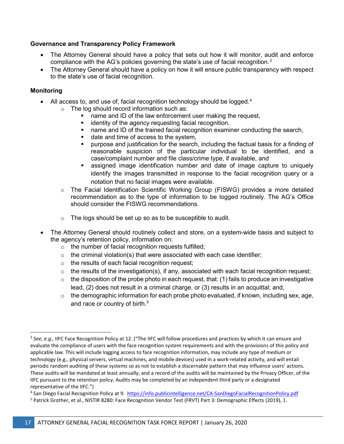### **Governance and Transparency Policy Framework**

- The Attorney General should have a policy that sets out how it will monitor, audit and enforce compliance with the AG's policies governing the state's use of facial recognition.<sup>[3](#page-16-0)</sup>
- The Attorney General should have a policy on how it will ensure public transparency with respect to the state's use of facial recognition.

### **Monitoring**

- All access to, and use of, facial recognition technology should be logged. $4$ 
	- o The log should record information such as:
		- name and ID of the law enforcement user making the request,
		- **EXEDENT** identity of the agency requesting facial recognition,
		- name and ID of the trained facial recognition examiner conducting the search,
		- date and time of access to the system,
		- purpose and justification for the search, including the factual basis for a finding of reasonable suspicion of the particular individual to be identified, and a case/complaint number and file class/crime type, if available, and
		- assigned image identification number and date of image capture to uniquely identify the images transmitted in response to the facial recognition query or a notation that no facial images were available.
	- o The Facial Identification Scientific Working Group (FISWG) provides a more detailed recommendation as to the type of information to be logged routinely. The AG's Office should consider the FISWG recommendations.
	- $\circ$  The logs should be set up so as to be susceptible to audit.
- The Attorney General should routinely collect and store, on a system-wide basis and subject to the agency's retention policy, information on:
	- o the number of facial recognition requests fulfilled;
	- $\circ$  the criminal violation(s) that were associated with each case identifier;
	- o the results of each facial recognition request;
	- $\circ$  the results of the investigation(s), if any, associated with each facial recognition request;
	- $\circ$  the disposition of the probe photo in each request, that: (1) fails to produce an investigative lead, (2) does not result in a criminal charge, or (3) results in an acquittal; and,
	- $\circ$  the demographic information for each probe photo evaluated, if known, including sex, age, and race or country of birth.<sup>[5](#page-16-2)</sup>

<span id="page-16-1"></span><sup>4</sup> San Diego Facial Recognition Policy at 9.<https://info.publicintelligence.net/CA-SanDiegoFacialRecognitionPolicy.pdf>

<span id="page-16-0"></span> <sup>3</sup> *See, e.g.,* IIFC Face Recognition Policy at 12. ("The IIFC will follow procedures and practices by which it can ensure and evaluate the compliance of users with the face recognition system requirements and with the provisions of this policy and applicable law. This will include logging access to face recognition information, may include any type of medium or technology (e.g., physical servers, virtual machines, and mobile devices) used in a work-related activity, and will entail periodic random auditing of these systems so as not to establish a discernable pattern that may influence users' actions. These audits will be mandated at least annually, and a record of the audits will be maintained by the Privacy Officer, of the IIFC pursuant to the retention policy. Audits may be completed by an independent third party or a designated representative of the IIFC.")

<span id="page-16-2"></span><sup>&</sup>lt;sup>5</sup> Patrick Grother, et al., NISTIR 8280: Face Recognition Vendor Test (FRVT) Part 3: Demographic Effects (2019), 1.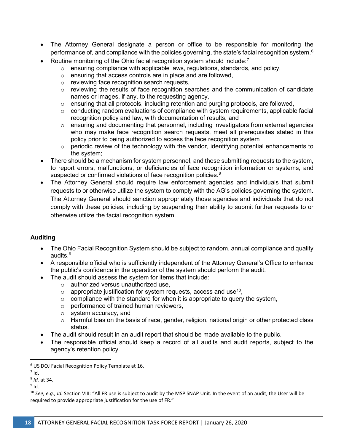- The Attorney General designate a person or office to be responsible for monitoring the performance of, and compliance with the policies governing, the state's facial recognition system. $^6\,$  $^6\,$  $^6\,$
- Routine monitoring of the Ohio facial recognition system should include:<sup>[7](#page-17-1)</sup>
	- o ensuring compliance with applicable laws, regulations, standards, and policy,
	- $\circ$  ensuring that access controls are in place and are followed.
	- o reviewing face recognition search requests,
	- o reviewing the results of face recognition searches and the communication of candidate names or images, if any, to the requesting agency,
	- o ensuring that all protocols, including retention and purging protocols, are followed,
	- o conducting random evaluations of compliance with system requirements, applicable facial recognition policy and law, with documentation of results, and
	- $\circ$  ensuring and documenting that personnel, including investigators from external agencies who may make face recognition search requests, meet all prerequisites stated in this policy prior to being authorized to access the face recognition system
	- $\circ$  periodic review of the technology with the vendor, identifying potential enhancements to the system;
- There should be a mechanism for system personnel, and those submitting requests to the system, to report errors, malfunctions, or deficiencies of face recognition information or systems, and suspected or confirmed violations of face recognition policies.<sup>[8](#page-17-2)</sup>
- The Attorney General should require law enforcement agencies and individuals that submit requests to or otherwise utilize the system to comply with the AG's policies governing the system. The Attorney General should sanction appropriately those agencies and individuals that do not comply with these policies, including by suspending their ability to submit further requests to or otherwise utilize the facial recognition system.

## **Auditing**

- The Ohio Facial Recognition System should be subject to random, annual compliance and quality audits.<sup>[9](#page-17-3)</sup>
- A responsible official who is sufficiently independent of the Attorney General's Office to enhance the public's confidence in the operation of the system should perform the audit.
- The audit should assess the system for items that include:
	- o authorized versus unauthorized use,
	- $\circ$  appropriate justification for system requests, access and use<sup>[10](#page-17-4)</sup>,
	- $\circ$  compliance with the standard for when it is appropriate to query the system,
	- o performance of trained human reviewers,
	- o system accuracy, and
	- o Harmful bias on the basis of race, gender, religion, national origin or other protected class status.
- The audit should result in an audit report that should be made available to the public.
- The responsible official should keep a record of all audits and audit reports, subject to the agency's retention policy.

<span id="page-17-0"></span> <sup>6</sup> US DOJ Facial Recognition Policy Template at 16.

<span id="page-17-1"></span> $7$  Id.

<span id="page-17-2"></span><sup>8</sup> *Id.* at 34.

<span id="page-17-3"></span> $9$  Id.

<span id="page-17-4"></span><sup>&</sup>lt;sup>10</sup> See, e.g., Id. Section VIII: "All FR use is subject to audit by the MSP SNAP Unit. In the event of an audit, the User will be required to provide appropriate justification for the use of FR."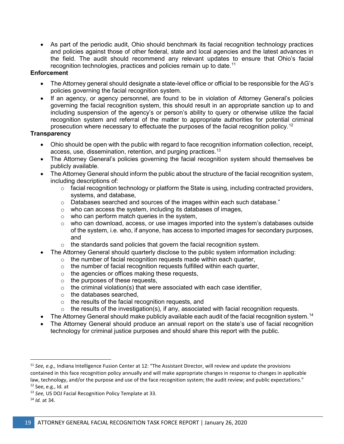• As part of the periodic audit, Ohio should benchmark its facial recognition technology practices and policies against those of other federal, state and local agencies and the latest advances in the field. The audit should recommend any relevant updates to ensure that Ohio's facial recognition technologies, practices and policies remain up to date. $^{\rm 11}$  $^{\rm 11}$  $^{\rm 11}$ 

### **Enforcement**

- The Attorney general should designate a state-level office or official to be responsible for the AG's policies governing the facial recognition system.
- If an agency, or agency personnel, are found to be in violation of Attorney General's policies governing the facial recognition system, this should result in an appropriate sanction up to and including suspension of the agency's or person's ability to query or otherwise utilize the facial recognition system and referral of the matter to appropriate authorities for potential criminal prosecution where necessary to effectuate the purposes of the facial recognition policy.<sup>[12](#page-18-1)</sup>

### **Transparency**

- Ohio should be open with the public with regard to face recognition information collection, receipt, access, use, dissemination, retention, and purging practices.<sup>[13](#page-18-2)</sup>
- The Attorney General's policies governing the facial recognition system should themselves be publicly available.
- The Attorney General should inform the public about the structure of the facial recognition system, including descriptions of:
	- $\circ$  facial recognition technology or platform the State is using, including contracted providers, systems, and database,
	- $\circ$  Databases searched and sources of the images within each such database."
	- o who can access the system, including its databases of images,
	- $\circ$  who can perform match queries in the system,
	- o who can download, access, or use images imported into the system's databases outside of the system, i.e. who, if anyone, has access to imported images for secondary purposes, and
	- o the standards sand policies that govern the facial recognition system.
- The Attorney General should quarterly disclose to the public system information including:
	- o the number of facial recognition requests made within each quarter,
	- $\circ$  the number of facial recognition requests fulfilled within each quarter,
	- o the agencies or offices making these requests,
	- $\circ$  the purposes of these requests,
	- $\circ$  the criminal violation(s) that were associated with each case identifier,
	- o the databases searched,
	- o the results of the facial recognition requests, and
	- $\circ$  the results of the investigation(s), if any, associated with facial recognition requests.
- The Attorney General should make publicly available each audit of the facial recognition system.<sup>[14](#page-18-3)</sup>
- The Attorney General should produce an annual report on the state's use of facial recognition technology for criminal justice purposes and should share this report with the public.

<span id="page-18-0"></span> <sup>11</sup> *See, e.g.,* Indiana Intelligence Fusion Center at 12: "The Assistant Director, will review and update the provisions contained in this face recognition policy annually and will make appropriate changes in response to changes in applicable law, technology, and/or the purpose and use of the face recognition system; the audit review; and public expectations."

<span id="page-18-1"></span><sup>&</sup>lt;sup>12</sup> See, e.g., Id. at 13 *See, US DOJ Facial Recognition Policy Template at 33.* 

<span id="page-18-3"></span><span id="page-18-2"></span><sup>14</sup> *Id.* at 34.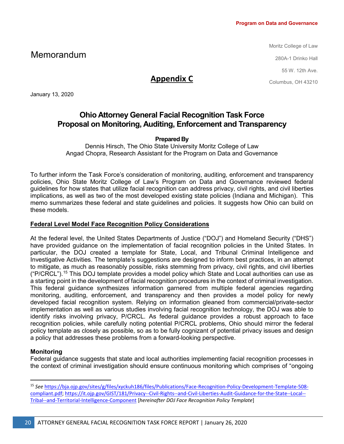Moritz College of Law

280A-1 Drinko Hall

55 W. 12th Ave.

Columbus, OH 43210

# Memorandum

# **Appendix C**

January 13, 2020

# **Ohio Attorney General Facial Recognition Task Force Proposal on Monitoring, Auditing, Enforcement and Transparency**

#### **Prepared By**

Dennis Hirsch, The Ohio State University Moritz College of Law Angad Chopra, Research Assistant for the Program on Data and Governance

To further inform the Task Force's consideration of monitoring, auditing, enforcement and transparency policies, Ohio State Moritz College of Law's Program on Data and Governance reviewed federal guidelines for how states that utilize facial recognition can address privacy, civil rights, and civil liberties implications, as well as two of the most developed existing state policies (Indiana and Michigan). This memo summarizes these federal and state guidelines and policies. It suggests how Ohio can build on these models.

## **Federal Level Model Face Recognition Policy Considerations**

At the federal level, the United States Departments of Justice ("DOJ") and Homeland Security ("DHS") have provided guidance on the implementation of facial recognition policies in the United States. In particular, the DOJ created a template for State, Local, and Tribunal Criminal Intelligence and Investigative Activities. The template's suggestions are designed to inform best practices, in an attempt to mitigate, as much as reasonably possible, risks stemming from privacy, civil rights, and civil liberties ("P/CRCL").[15](#page-19-0) This DOJ template provides a model policy which State and Local authorities can use as a starting point in the development of facial recognition procedures in the context of criminal investigation. This federal guidance synthesizes information garnered from multiple federal agencies regarding monitoring, auditing, enforcement, and transparency and then provides a model policy for newly developed facial recognition system. Relying on information gleaned from commercial/private-sector implementation as well as various studies involving facial recognition technology, the DOJ was able to identify risks involving privacy, P/CRCL. As federal guidance provides a robust approach to face recognition policies, while carefully noting potential P/CRCL problems, Ohio should mirror the federal policy template as closely as possible, so as to be fully cognizant of potential privacy issues and design a policy that addresses these problems from a forward-looking perspective.

## **Monitoring**

Federal guidance suggests that state and local authorities implementing facial recognition processes in the context of criminal investigation should ensure continuous monitoring which comprises of "ongoing

<span id="page-19-0"></span> <sup>15</sup> *See* [https://bja.ojp.gov/sites/g/files/xyckuh186/files/Publications/Face-Recognition-Policy-Development-Template-508](https://bja.ojp.gov/sites/g/files/xyckuh186/files/Publications/Face-Recognition-Policy-Development-Template-508-compliant.pdf) [compliant.pdf;](https://bja.ojp.gov/sites/g/files/xyckuh186/files/Publications/Face-Recognition-Policy-Development-Template-508-compliant.pdf) [https://it.ojp.gov/GIST/181/Privacy--Civil-Rights--and-Civil-Liberties-Audit-Guidance-for-the-State--Local--](https://it.ojp.gov/GIST/181/Privacy--Civil-Rights--and-Civil-Liberties-Audit-Guidance-for-the-State--Local--Tribal--and-Territorial-Intelligence-Component) [Tribal--and-Territorial-Intelligence-Component](https://it.ojp.gov/GIST/181/Privacy--Civil-Rights--and-Civil-Liberties-Audit-Guidance-for-the-State--Local--Tribal--and-Territorial-Intelligence-Component) [*hereinafter DOJ Face Recognition Policy Template*]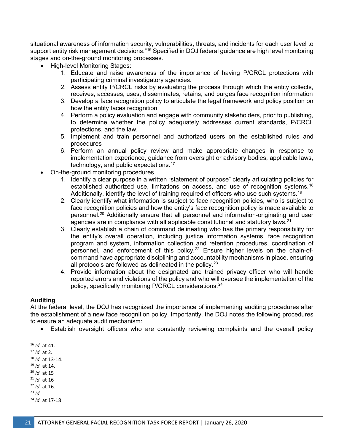situational awareness of information security, vulnerabilities, threats, and incidents for each user level to support entity risk management decisions."<sup>[16](#page-20-0)</sup> Specified in DOJ federal guidance are high level monitoring stages and on-the-ground monitoring processes.

- High-level Monitoring Stages:
	- 1. Educate and raise awareness of the importance of having P/CRCL protections with participating criminal investigatory agencies.
	- 2. Assess entity P/CRCL risks by evaluating the process through which the entity collects, receives, accesses, uses, disseminates, retains, and purges face recognition information
	- 3. Develop a face recognition policy to articulate the legal framework and policy position on how the entity faces recognition
	- 4. Perform a policy evaluation and engage with community stakeholders, prior to publishing, to determine whether the policy adequately addresses current standards, P/CRCL protections, and the law.
	- 5. Implement and train personnel and authorized users on the established rules and procedures
	- 6. Perform an annual policy review and make appropriate changes in response to implementation experience, guidance from oversight or advisory bodies, applicable laws, technology, and public expectations.[17](#page-20-1)
- On-the-ground monitoring procedures
	- 1. Identify a clear purpose in a written "statement of purpose" clearly articulating policies for established authorized use, limitations on access, and use of recognition systems.<sup>[18](#page-20-2)</sup> Additionally, identify the level of training required of officers who use such systems.<sup>[19](#page-20-3)</sup>
	- 2. Clearly identify what information is subject to face recognition policies, who is subject to face recognition policies and how the entity's face recognition policy is made available to personnel.[20](#page-20-4) Additionally ensure that all personnel and information-originating and user agencies are in compliance with all applicable constitutional and statutory laws.<sup>[21](#page-20-5)</sup>
	- 3. Clearly establish a chain of command delineating who has the primary responsibility for the entity's overall operation, including justice information systems, face recognition program and system, information collection and retention procedures, coordination of personnel, and enforcement of this policy.<sup>[22](#page-20-6)</sup> Ensure higher levels on the chain-ofcommand have appropriate disciplining and accountability mechanisms in place, ensuring all protocols are followed as delineated in the policy. $23$
	- 4. Provide information about the designated and trained privacy officer who will handle reported errors and violations of the policy and who will oversee the implementation of the policy, specifically monitoring P/CRCL considerations.<sup>[24](#page-20-8)</sup>

#### **Auditing**

At the federal level, the DOJ has recognized the importance of implementing auditing procedures after the establishment of a new face recognition policy. Importantly, the DOJ notes the following procedures to ensure an adequate audit mechanism:

• Establish oversight officers who are constantly reviewing complaints and the overall policy

- <span id="page-20-2"></span><sup>17</sup> *Id.* at 2. 18 *Id.* at 13-14.
- <span id="page-20-3"></span><sup>19</sup> *Id.* at 14.
- <span id="page-20-4"></span><sup>20</sup> *Id.* at 15
- <span id="page-20-5"></span><sup>21</sup> *Id.* at 16
- <span id="page-20-6"></span><sup>22</sup> *Id.* at 16.
- <span id="page-20-7"></span><sup>23</sup> *Id.*
- <span id="page-20-8"></span><sup>24</sup> *Id.* at 17-18

<span id="page-20-0"></span><sup>&</sup>lt;sup>16</sup> *Id.* at 41.<br><sup>17</sup> *Id.* at 2.

<span id="page-20-1"></span>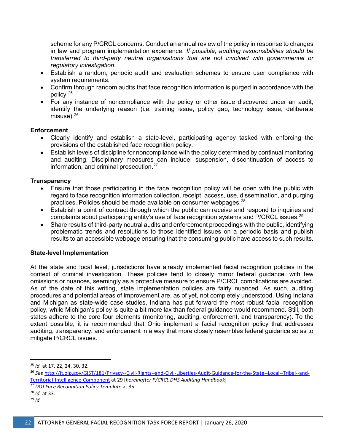scheme for any P/CRCL concerns. Conduct an annual review of the policy in response to changes in law and program implementation experience. *If possible, auditing responsibilities should be transferred to third-party neutral organizations that are not involved with governmental or regulatory investigation.*

- Establish a random, periodic audit and evaluation schemes to ensure user compliance with system requirements.
- Confirm through random audits that face recognition information is purged in accordance with the policy.[25](#page-21-0)
- For any instance of noncompliance with the policy or other issue discovered under an audit, identify the underlying reason (i.e. training issue, policy gap, technology issue, deliberate misuse). $26$

#### **Enforcement**

- Clearly identify and establish a state-level, participating agency tasked with enforcing the provisions of the established face recognition policy.
- Establish levels of discipline for noncompliance with the policy determined by continual monitoring and auditing. Disciplinary measures can include: suspension, discontinuation of access to information, and criminal prosecution.[27](#page-21-2)

#### **Transparency**

- Ensure that those participating in the face recognition policy will be open with the public with regard to face recognition information collection, receipt, access, use, dissemination, and purging practices. Policies should be made available on consumer webpages.<sup>[28](#page-21-3)</sup>
- Establish a point of contract through which the public can receive and respond to inquiries and complaints about participating entity's use of face recognition systems and P/CRCL issues.<sup>[29](#page-21-4)</sup>
- Share results of third-party neutral audits and enforcement proceedings with the public, identifying problematic trends and resolutions to those identified issues on a periodic basis and publish results to an accessible webpage ensuring that the consuming public have access to such results.

#### **State-level Implementation**

At the state and local level, jurisdictions have already implemented facial recognition policies in the context of criminal investigation. These policies tend to closely mirror federal guidance, with few omissions or nuances, seemingly as a protective measure to ensure P/CRCL complications are avoided. As of the date of this writing, state implementation policies are fairly nuanced. As such, auditing procedures and potential areas of improvement are, as of yet, not completely understood. Using Indiana and Michigan as state-wide case studies, Indiana has put forward the most robust facial recognition policy, while Michigan's policy is quite a bit more lax than federal guidance would recommend. Still, both states adhere to the core four elements (monitoring, auditing, enforcement, and transparency). To the extent possible, it is recommended that Ohio implement a facial recognition policy that addresses auditing, transparency, and enforcement in a way that more closely resembles federal guidance so as to mitigate P/CRCL issues.

- <span id="page-21-2"></span><sup>27</sup> *DOJ Face Recognition Policy Template* at 35.
- <span id="page-21-3"></span><sup>28</sup> *Id.* at 33.
- <span id="page-21-4"></span><sup>29</sup> *Id.*

<span id="page-21-0"></span> <sup>25</sup> *Id.* at 17, 22, 24, 30, 32.

<span id="page-21-1"></span><sup>26</sup> *See* [http://it.ojp.gov/GIST/181/Privacy--Civil-Rights--and-Civil-Liberties-Audit-Guidance-for-the-State--Local--Tribal--and-](http://it.ojp.gov/GIST/181/Privacy--Civil-Rights--and-Civil-Liberties-Audit-Guidance-for-the-State--Local--Tribal--and-Territorial-Intelligence-Component)[Territorial-Intelligence-Component](http://it.ojp.gov/GIST/181/Privacy--Civil-Rights--and-Civil-Liberties-Audit-Guidance-for-the-State--Local--Tribal--and-Territorial-Intelligence-Component) at 29 [*hereinafter P/CRCL DHS Auditing Handbook*]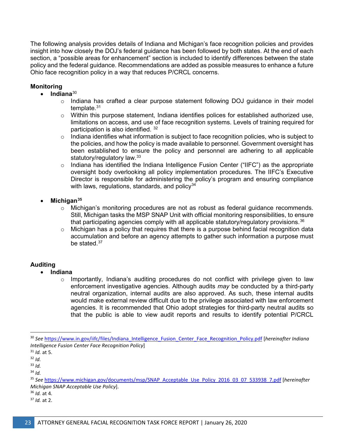The following analysis provides details of Indiana and Michigan's face recognition policies and provides insight into how closely the DOJ's federal guidance has been followed by both states. At the end of each section, a "possible areas for enhancement" section is included to identify differences between the state policy and the federal guidance. Recommendations are added as possible measures to enhance a future Ohio face recognition policy in a way that reduces P/CRCL concerns.

## **Monitoring**

- **Indiana**[30](#page-22-0)
	- $\circ$  Indiana has crafted a clear purpose statement following DOJ guidance in their model template.[31](#page-22-1)
	- $\circ$  Within this purpose statement, Indiana identifies polices for established authorized use, limitations on access, and use of face recognition systems. Levels of training required for participation is also identified. [32](#page-22-2)
	- $\circ$  Indiana identifies what information is subject to face recognition policies, who is subject to the policies, and how the policy is made available to personnel. Government oversight has been established to ensure the policy and personnel are adhering to all applicable statutory/regulatory law.<sup>[33](#page-22-3)</sup>
	- $\circ$  Indiana has identified the Indiana Intelligence Fusion Center ("IIFC") as the appropriate oversight body overlooking all policy implementation procedures. The IIFC's Executive Director is responsible for administering the policy's program and ensuring compliance with laws, regulations, standards, and policy $34$
- **Michigan[35](#page-22-5)**
	- $\circ$  Michigan's monitoring procedures are not as robust as federal guidance recommends. Still, Michigan tasks the MSP SNAP Unit with official monitoring responsibilities, to ensure that participating agencies comply with all applicable statutory/regulatory provisions.  $36$
	- o Michigan has a policy that requires that there is a purpose behind facial recognition data accumulation and before an agency attempts to gather such information a purpose must be stated.<sup>[37](#page-22-7)</sup>

# **Auditing**

- **Indiana**
	- $\circ$  Importantly, Indiana's auditing procedures do not conflict with privilege given to law enforcement investigative agencies. Although audits *may* be conducted by a third-party neutral organization, internal audits are also approved. As such, these internal audits would make external review difficult due to the privilege associated with law enforcement agencies. It is recommended that Ohio adopt strategies for third-party neutral audits so that the public is able to view audit reports and results to identify potential P/CRCL

<span id="page-22-6"></span><sup>36</sup> *Id.* at 4.

<span id="page-22-0"></span> <sup>30</sup> *See* [https://www.in.gov/iifc/files/Indiana\\_Intelligence\\_Fusion\\_Center\\_Face\\_Recognition\\_Policy.pdf](https://www.in.gov/iifc/files/Indiana_Intelligence_Fusion_Center_Face_Recognition_Policy.pdf) [*hereinafter Indiana Intelligence Fusion Center Face Recognition Policy*]

<span id="page-22-1"></span><sup>31</sup> *Id.* at 5.

<span id="page-22-2"></span> $32$  *Id.* 

<span id="page-22-3"></span><sup>33</sup> *Id.*

<span id="page-22-4"></span><sup>34</sup> *Id.*

<span id="page-22-5"></span><sup>35</sup> *See* [https://www.michigan.gov/documents/msp/SNAP\\_Acceptable\\_Use\\_Policy\\_2016\\_03\\_07\\_533938\\_7.pdf](https://www.michigan.gov/documents/msp/SNAP_Acceptable_Use_Policy_2016_03_07_533938_7.pdf) [*hereinafter Michigan SNAP Acceptable Use Policy*].

<span id="page-22-7"></span><sup>37</sup> *Id.* at 2.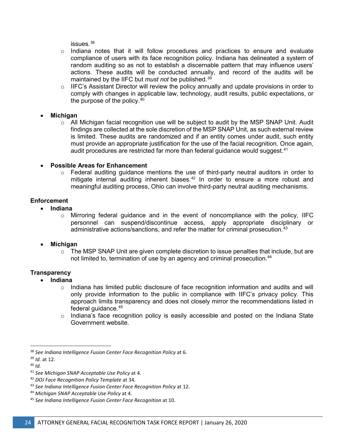issues.[38](#page-23-0)

- $\circ$  Indiana notes that it will follow procedures and practices to ensure and evaluate compliance of users with its face recognition policy. Indiana has delineated a system of random auditing so as not to establish a discernable pattern that may influence users' actions. These audits will be conducted annually, and record of the audits will be maintained by the IIFC but *must not* be published.[39](#page-23-1)
- o IIFC's Assistant Director will review the policy annually and update provisions in order to comply with changes in applicable law, technology, audit results, public expectations, or the purpose of the policy.<sup>[40](#page-23-2)</sup>
- **Michigan**
	- $\circ$  All Michigan facial recognition use will be subject to audit by the MSP SNAP Unit. Audit findings are collected at the sole discretion of the MSP SNAP Unit, as such external review is limited. These audits are randomized and if an entity comes under audit, such entity must provide an appropriate justification for the use of the facial recognition. Once again, audit procedures are restricted far more than federal guidance would suggest. $41$
- **Possible Areas for Enhancement**
	- o Federal auditing guidance mentions the use of third-party neutral auditors in order to mitigate internal auditing inherent biases. $42$  In order to ensure a more robust and meaningful auditing process, Ohio can involve third-party neutral auditing mechanisms.

## **Enforcement**

- **Indiana**
	- $\circ$  Mirroring federal guidance and in the event of noncompliance with the policy, IIFC personnel can suspend/discontinue access, apply appropriate disciplinary or administrative actions/sanctions, and refer the matter for criminal prosecution.[43](#page-23-5)
- **Michigan**
	- $\circ$  The MSP SNAP Unit are given complete discretion to issue penalties that include, but are not limited to, termination of use by an agency and criminal prosecution.<sup>[44](#page-23-6)</sup>

## **Transparency**

- **Indiana**
	- $\circ$  Indiana has limited public disclosure of face recognition information and audits and will only provide information to the public in compliance with IIFC's privacy policy. This approach limits transparency and does not closely mirror the recommendations listed in federal guidance.[45](#page-23-7)
	- $\circ$  Indiana's face recognition policy is easily accessible and posted on the Indiana State Government website.

<span id="page-23-0"></span> <sup>38</sup> *See Indiana Intelligence Fusion Center Face Recognition Policy* at 6.

<span id="page-23-1"></span><sup>39</sup> *Id.* at 12.

<span id="page-23-2"></span><sup>40</sup> *Id.*

<span id="page-23-3"></span><sup>41</sup> *See Michigan SNAP Acceptable Use Policy* at 4.

<span id="page-23-4"></span><sup>42</sup> *DOJ Face Recognition Policy Template* at 34.

<span id="page-23-5"></span><sup>43</sup> *See Indiana Intelligence Fusion Center Face Recognition Policy* at 12.

<span id="page-23-6"></span><sup>44</sup> *Michigan SNAP Acceptable Use Policy* at 4.

<span id="page-23-7"></span><sup>45</sup> *See Indiana Intelligence Fusion Center Face Recognition* at 10.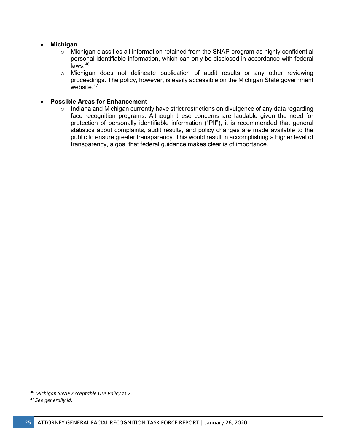#### • **Michigan**

- $\circ$  Michigan classifies all information retained from the SNAP program as highly confidential personal identifiable information, which can only be disclosed in accordance with federal  $i$ aws. $46$
- o Michigan does not delineate publication of audit results or any other reviewing proceedings. The policy, however, is easily accessible on the Michigan State government website. $47$

#### • **Possible Areas for Enhancement**

 $\circ$  Indiana and Michigan currently have strict restrictions on divulgence of any data regarding face recognition programs. Although these concerns are laudable given the need for protection of personally identifiable information ("PII"), it is recommended that general statistics about complaints, audit results, and policy changes are made available to the public to ensure greater transparency. This would result in accomplishing a higher level of transparency, a goal that federal guidance makes clear is of importance.

<span id="page-24-0"></span> <sup>46</sup> *Michigan SNAP Acceptable Use Policy* at 2.

<span id="page-24-1"></span><sup>47</sup> *See generally id*.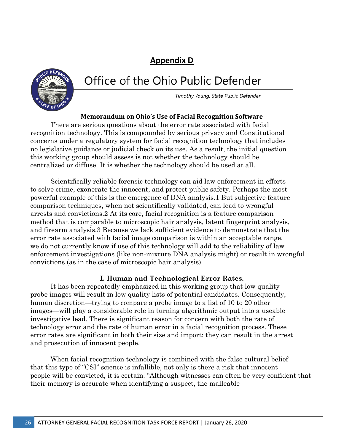# **Appendix D**



# Office of the Ohio Public Defender

Timothy Young, State Public Defender

# **Memorandum on Ohio's Use of Facial Recognition Software**

There are serious questions about the error rate associated with facial recognition technology. This is compounded by serious privacy and Constitutional concerns under a regulatory system for facial recognition technology that includes no legislative guidance or judicial check on its use. As a result, the initial question this working group should assess is not whether the technology should be centralized or diffuse. It is whether the technology should be used at all.

Scientifically reliable forensic technology can aid law enforcement in efforts to solve crime, exonerate the innocent, and protect public safety. Perhaps the most powerful example of this is the emergence of DNA analysis.1 But subjective feature comparison techniques, when not scientifically validated, can lead to wrongful arrests and convictions.2 At its core, facial recognition is a feature comparison method that is comparable to microscopic hair analysis, latent fingerprint analysis, and firearm analysis.3 Because we lack sufficient evidence to demonstrate that the error rate associated with facial image comparison is within an acceptable range, we do not currently know if use of this technology will add to the reliability of law enforcement investigations (like non-mixture DNA analysis might) or result in wrongful convictions (as in the case of microscopic hair analysis).

# **I. Human and Technological Error Rates.**

It has been repeatedly emphasized in this working group that low quality probe images will result in low quality lists of potential candidates. Consequently, human discretion—trying to compare a probe image to a list of 10 to 20 other images—will play a considerable role in turning algorithmic output into a useable investigative lead. There is significant reason for concern with both the rate of technology error and the rate of human error in a facial recognition process. These error rates are significant in both their size and import: they can result in the arrest and prosecution of innocent people.

When facial recognition technology is combined with the false cultural belief that this type of "CSI" science is infallible, not only is there a risk that innocent people will be convicted, it is certain. "Although witnesses can often be very confident that their memory is accurate when identifying a suspect, the malleable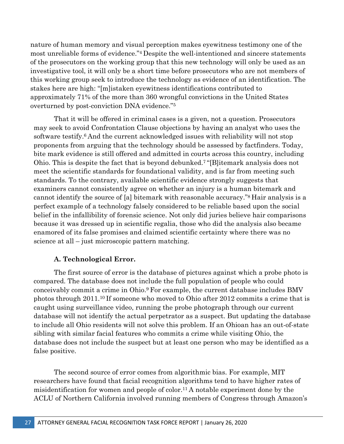nature of human memory and visual perception makes eyewitness testimony one of the most unreliable forms of evidence."4 Despite the well-intentioned and sincere statements of the prosecutors on the working group that this new technology will only be used as an investigative tool, it will only be a short time before prosecutors who are not members of this working group seek to introduce the technology as evidence of an identification. The stakes here are high: "[m]istaken eyewitness identifications contributed to approximately 71% of the more than 360 wrongful convictions in the United States overturned by post-conviction DNA evidence."5

That it will be offered in criminal cases is a given, not a question. Prosecutors may seek to avoid Confrontation Clause objections by having an analyst who uses the software testify.6 And the current acknowledged issues with reliability will not stop proponents from arguing that the technology should be assessed by factfinders. Today, bite mark evidence is still offered and admitted in courts across this country, including Ohio. This is despite the fact that is beyond debunked.7 "[B]itemark analysis does not meet the scientific standards for foundational validity, and is far from meeting such standards. To the contrary, available scientific evidence strongly suggests that examiners cannot consistently agree on whether an injury is a human bitemark and cannot identify the source of [a] bitemark with reasonable accuracy."8 Hair analysis is a perfect example of a technology falsely considered to be reliable based upon the social belief in the infallibility of forensic science. Not only did juries believe hair comparisons because it was dressed up in scientific regalia, those who did the analysis also became enamored of its false promises and claimed scientific certainty where there was no science at all – just microscopic pattern matching.

## **A. Technological Error.**

The first source of error is the database of pictures against which a probe photo is compared. The database does not include the full population of people who could conceivably commit a crime in Ohio.9 For example, the current database includes BMV photos through  $2011^{10}$  If someone who moved to Ohio after  $2012$  commits a crime that is caught using surveillance video, running the probe photograph through our current database will not identify the actual perpetrator as a suspect. But updating the database to include all Ohio residents will not solve this problem. If an Ohioan has an out-of-state sibling with similar facial features who commits a crime while visiting Ohio, the database does not include the suspect but at least one person who may be identified as a false positive.

The second source of error comes from algorithmic bias. For example, MIT researchers have found that facial recognition algorithms tend to have higher rates of misidentification for women and people of color.<sup>11</sup> A notable experiment done by the ACLU of Northern California involved running members of Congress through Amazon's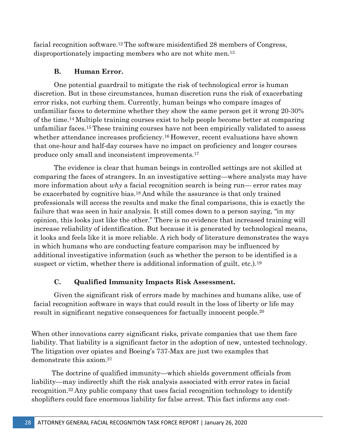facial recognition software.12 The software misidentified 28 members of Congress, disproportionately impacting members who are not white men.<sup>13</sup>

# **B. Human Error.**

One potential guardrail to mitigate the risk of technological error is human discretion. But in these circumstances, human discretion runs the risk of exacerbating error risks, not curbing them. Currently, human beings who compare images of unfamiliar faces to determine whether they show the same person get it wrong 20-30% of the time.14 Multiple training courses exist to help people become better at comparing unfamiliar faces.15 These training courses have not been empirically validated to assess whether attendance increases proficiency.<sup>16</sup> However, recent evaluations have shown that one-hour and half-day courses have no impact on proficiency and longer courses produce only small and inconsistent improvements.17

The evidence is clear that human beings in controlled settings are not skilled at comparing the faces of strangers. In an investigative setting—where analysts may have more information about *why* a facial recognition search is being run— error rates may be exacerbated by cognitive bias.18 And while the assurance is that only trained professionals will access the results and make the final comparisons, this is exactly the failure that was seen in hair analysis. It still comes down to a person saying, "in my opinion, this looks just like the other." There is no evidence that increased training will increase reliability of identification. But because it is generated by technological means, it looks and feels like it is more reliable. A rich body of literature demonstrates the ways in which humans who are conducting feature comparison may be influenced by additional investigative information (such as whether the person to be identified is a suspect or victim, whether there is additional information of guilt, etc.).<sup>19</sup>

# **C. Qualified Immunity Impacts Risk Assessment.**

Given the significant risk of errors made by machines and humans alike, use of facial recognition software in ways that could result in the loss of liberty or life may result in significant negative consequences for factually innocent people.20

When other innovations carry significant risks, private companies that use them face liability. That liability is a significant factor in the adoption of new, untested technology. The litigation over opiates and Boeing's 737-Max are just two examples that demonstrate this axiom.21

The doctrine of qualified immunity—which shields government officials from liability—may indirectly shift the risk analysis associated with error rates in facial recognition.22 Any public company that uses facial recognition technology to identify shoplifters could face enormous liability for false arrest. This fact informs any cost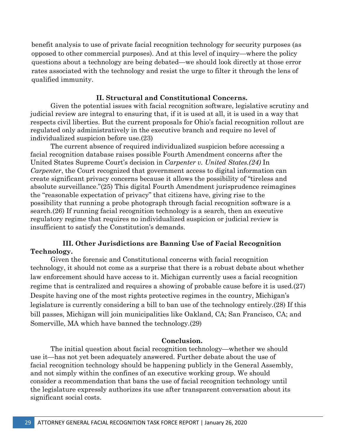benefit analysis to use of private facial recognition technology for security purposes (as opposed to other commercial purposes). And at this level of inquiry—where the policy questions about a technology are being debated—we should look directly at those error rates associated with the technology and resist the urge to filter it through the lens of qualified immunity.

#### **II. Structural and Constitutional Concerns.**

Given the potential issues with facial recognition software, legislative scrutiny and judicial review are integral to ensuring that, if it is used at all, it is used in a way that respects civil liberties. But the current proposals for Ohio's facial recognition rollout are regulated only administratively in the executive branch and require no level of individualized suspicion before use.(23)

The current absence of required individualized suspicion before accessing a facial recognition database raises possible Fourth Amendment concerns after the United States Supreme Court's decision in *Carpenter v. United States.(24)* In *Carpenter*, the Court recognized that government access to digital information can create significant privacy concerns because it allows the possibility of "tireless and absolute surveillance."(25) This digital Fourth Amendment jurisprudence reimagines the "reasonable expectation of privacy" that citizens have, giving rise to the possibility that running a probe photograph through facial recognition software is a search.(26) If running facial recognition technology is a search, then an executive regulatory regime that requires no individualized suspicion or judicial review is insufficient to satisfy the Constitution's demands.

## **III. Other Jurisdictions are Banning Use of Facial Recognition Technology.**

Given the forensic and Constitutional concerns with facial recognition technology, it should not come as a surprise that there is a robust debate about whether law enforcement should have access to it. Michigan currently uses a facial recognition regime that is centralized and requires a showing of probable cause before it is used.(27) Despite having one of the most rights protective regimes in the country, Michigan's legislature is currently considering a bill to ban use of the technology entirely.(28) If this bill passes, Michigan will join municipalities like Oakland, CA; San Francisco, CA; and Somerville, MA which have banned the technology.(29)

#### **Conclusion.**

The initial question about facial recognition technology—whether we should use it—has not yet been adequately answered. Further debate about the use of facial recognition technology should be happening publicly in the General Assembly, and not simply within the confines of an executive working group. We should consider a recommendation that bans the use of facial recognition technology until the legislature expressly authorizes its use after transparent conversation about its significant social costs.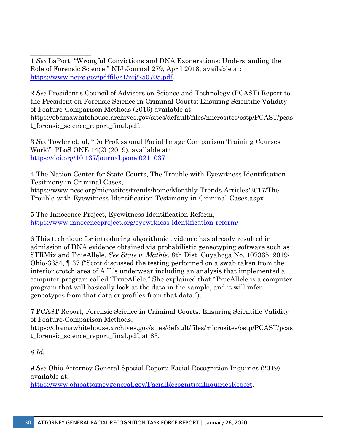\_\_\_\_\_\_\_\_\_\_\_\_\_\_\_\_\_\_ 1 *See* LaPort, "Wrongful Convictions and DNA Exonerations: Understanding the Role of Forensic Science." NIJ Journal 279, April 2018, available at: [https://www.ncjrs.gov/pdffiles1/nij/250705.pdf.](https://www.ncjrs.gov/pdffiles1/nij/250705.pdf)

2 *See* President's Council of Advisors on Science and Technology (PCAST) Report to the President on Forensic Science in Criminal Courts: Ensuring Scientific Validity of Feature-Comparison Methods (2016) available at: https://obamawhitehouse.archives.gov/sites/default/files/microsites/ostp/PCAST/pcas t\_forensic\_science\_report\_final.pdf.

3 *See* Towler et. al, "Do Professional Facial Image Comparison Training Courses Work?" PLoS ONE 14(2) (2019), available at: <https://doi.org/10.137/journal.pone.0211037>

4 The Nation Center for State Courts, The Trouble with Eyewitness Identification Tesitmony in Criminal Cases, https://www.ncsc.org/microsites/trends/home/Monthly-Trends-Articles/2017/The-Trouble-with-Eyewitness-Identification-Testimony-in-Criminal-Cases.aspx

5 The Innocence Project, Eyewitness Identification Reform, <https://www.innocenceproject.org/eyewitness-identification-reform/>

6 This technique for introducing algorithmic evidence has already resulted in admission of DNA evidence obtained via probabilistic geneotyping software such as STRMix and TrueAllele. *See State v. Mathis*, 8th Dist. Cuyahoga No. 107365, 2019- Ohio-3654, ¶ 37 ("Scott discussed the testing performed on a swab taken from the interior crotch area of A.T.'s underwear including an analysis that implemented a computer program called "TrueAllele." She explained that "TrueAllele is a computer program that will basically look at the data in the sample, and it will infer geneotypes from that data or profiles from that data.").

7 PCAST Report, Forensic Science in Criminal Courts: Ensuring Scientific Validity of Feature-Comparison Methods,

https://obamawhitehouse.archives.gov/sites/default/files/microsites/ostp/PCAST/pcas t\_forensic\_science\_report\_final.pdf, at 83.

8 *Id.*

9 *See* Ohio Attorney General Special Report: Facial Recognition Inquiries (2019) available at:

[https://www.ohioattorneygeneral.gov/FacialRecognitionInquiriesReport.](https://www.ohioattorneygeneral.gov/FacialRecognitionInquiriesReport)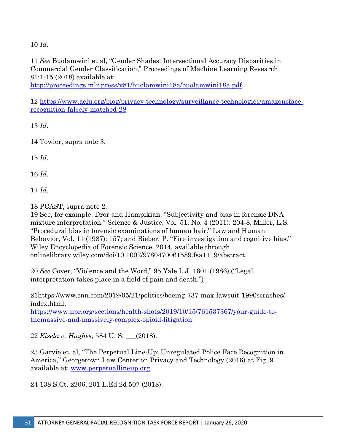10 *Id.*

11 *See* Buolamwini et al, "Gender Shades: Intersectional Accuracy Disparities in Commercial Gender Classification," Proceedings of Machine Learning Research 81:1-15 (2018) available at:

<http://proceedings.mlr.press/v81/buolamwini18a/buolamwini18a.pdf>

12 [https://www.aclu.org/blog/privacy-technology/surveillance-technologies/amazonsface](https://www.aclu.org/blog/privacy-technology/surveillance-technologies/amazonsface-recognition-falsely-matched-28)[recognition-falsely-matched-28](https://www.aclu.org/blog/privacy-technology/surveillance-technologies/amazonsface-recognition-falsely-matched-28)

13 *Id.*

14 Towler, supra note 3.

15 *Id.*

16 *Id.*

17 *Id.*

18 PCAST, supra note 2.

19 See, for example: Dror and Hampikian. "Subjectivity and bias in forensic DNA mixture interpretation." Science & Justice, Vol. 51, No. 4 (2011): 204-8; Miller, L.S. "Procedural bias in forensic examinations of human hair." Law and Human Behavior, Vol. 11 (1987): 157; and Bieber, P. "Fire investigation and cognitive bias." Wiley Encyclopedia of Forensic Science, 2014, available through onlinelibrary.wiley.com/doi/10.1002/9780470061589.fsa1119/abstract.

20 *See* Cover, "Violence and the Word," 95 Yale L.J. 1601 (1986) ("Legal interpretation takes place in a field of pain and death.")

21https://www.cnn.com/2019/05/21/politics/boeing-737-max-lawsuit-1990scrashes/ index.html;

[https://www.npr.org/sections/health-shots/2019/10/15/761537367/your-guide-to](https://www.npr.org/sections/health-shots/2019/10/15/761537367/your-guide-to-themassive-and-massively-complex-opioid-litigation)[themassive-and-massively-complex-opioid-litigation](https://www.npr.org/sections/health-shots/2019/10/15/761537367/your-guide-to-themassive-and-massively-complex-opioid-litigation)

22 *Kisela v. Hughes*, 584 U. S. \_\_\_(2018).

23 Garvie et. al, "The Perpetual Line-Up: Unregulated Police Face Recognition in America," Georgetown Law Center on Privacy and Technology (2016) at Fig. 9 available at: [www.perpetuallineup.org](http://www.perpetuallineup.org/)

24 138 S.Ct. 2206, 201 L.Ed.2d 507 (2018).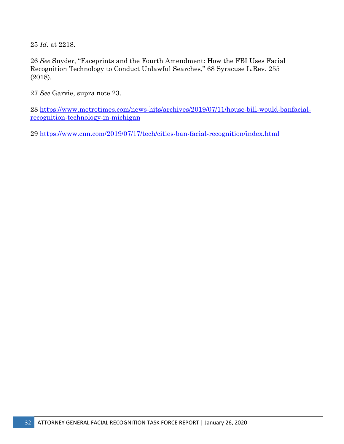*Id.* at 2218.

*See* Snyder, "Faceprints and the Fourth Amendment: How the FBI Uses Facial Recognition Technology to Conduct Unlawful Searches," 68 Syracuse L.Rev. 255 (2018).

*See* Garvie, supra note 23.

 [https://www.metrotimes.com/news-hits/archives/2019/07/11/house-bill-would-banfacial](https://www.metrotimes.com/news-hits/archives/2019/07/11/house-bill-would-banfacial-recognition-technology-in-michigan)[recognition-technology-in-michigan](https://www.metrotimes.com/news-hits/archives/2019/07/11/house-bill-would-banfacial-recognition-technology-in-michigan)

<https://www.cnn.com/2019/07/17/tech/cities-ban-facial-recognition/index.html>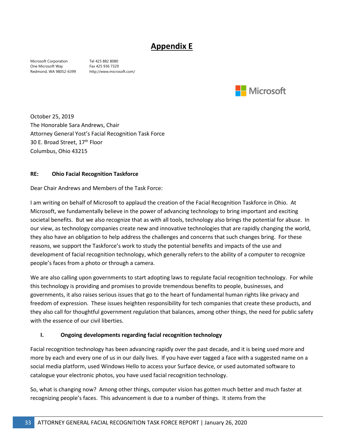# **Appendix E**

Microsoft Corporation Tel 425 882 8080 One Microsoft Way Fax 425 936 7329<br>Redmond, WA 98052-6399 http://www.micro

http://www.microsoft.com/



October 25, 2019 The Honorable Sara Andrews, Chair Attorney General Yost's Facial Recognition Task Force 30 E. Broad Street, 17<sup>th</sup> Floor Columbus, Ohio 43215

#### **RE: Ohio Facial Recognition Taskforce**

Dear Chair Andrews and Members of the Task Force:

I am writing on behalf of Microsoft to applaud the creation of the Facial Recognition Taskforce in Ohio. At Microsoft, we fundamentally believe in the power of advancing technology to bring important and exciting societal benefits. But we also recognize that as with all tools, technology also brings the potential for abuse. In our view, as technology companies create new and innovative technologies that are rapidly changing the world, they also have an obligation to help address the challenges and concerns that such changes bring. For these reasons, we support the Taskforce's work to study the potential benefits and impacts of the use and development of facial recognition technology, which generally refers to the ability of a computer to recognize people's faces from a photo or through a camera.

We are also calling upon governments to start adopting laws to regulate facial recognition technology. For while this technology is providing and promises to provide tremendous benefits to people, businesses, and governments, it also raises serious issues that go to the heart of fundamental human rights like privacy and freedom of expression. These issues heighten responsibility for tech companies that create these products, and they also call for thoughtful government regulation that balances, among other things, the need for public safety with the essence of our civil liberties.

#### **I. Ongoing developments regarding facial recognition technology**

Facial recognition technology has been advancing rapidly over the past decade, and it is being used more and more by each and every one of us in our daily lives. If you have ever tagged a face with a suggested name on a social media platform, used Windows Hello to access your Surface device, or used automated software to catalogue your electronic photos, you have used facial recognition technology.

So, what is changing now? Among other things, computer vision has gotten much better and much faster at recognizing people's faces. This advancement is due to a number of things. It stems from the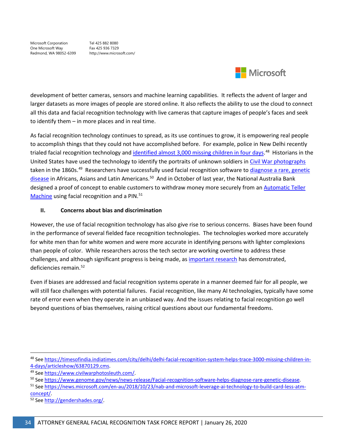Microsoft Corporation Tel 425 882 8080 One Microsoft Way Fax 425 936 7329<br>Redmond, WA 98052-6399 http://www.microsoft.com/ Redmond, WA 98052-6399



development of better cameras, sensors and machine learning capabilities. It reflects the advent of larger and larger datasets as more images of people are stored online. It also reflects the ability to use the cloud to connect all this data and facial recognition technology with live cameras that capture images of people's faces and seek to identify them – in more places and in real time.

As facial recognition technology continues to spread, as its use continues to grow, it is empowering real people to accomplish things that they could not have accomplished before. For example, police in New Delhi recently trialed facial recognition technology an[d identified almost 3,000 missing children in four days.](https://timesofindia.indiatimes.com/city/delhi/delhi-facial-recognition-system-helps-trace-3000-missing-children-in-4-days/articleshow/63870129.cms)<sup>48</sup> Historians in the United States have used the technology to identify the portraits of unknown soldiers in [Civil War photographs](https://www.civilwarphotosleuth.com/) taken in the 1860s.<sup>49</sup> Researchers have successfully used facial recognition software to diagnose a rare, genetic [disease](https://www.genome.gov/27568319/facial-recognition-software-helps-diagnose-rare-genetic-disease/) in Africans, Asians and Latin Americans.<sup>50</sup> And in October of last year, the National Australia Bank designed a proof of concept to enable customers to withdraw money more securely from an **Automatic Teller** [Machine](https://news.microsoft.com/en-au/2018/10/23/nab-and-microsoft-leverage-ai-technology-to-build-card-less-atm-concept/) using facial recognition and a PIN.<sup>[51](#page-33-3)</sup>

#### **II. Concerns about bias and discrimination**

However, the use of facial recognition technology has also give rise to serious concerns. Biases have been found in the performance of several fielded face recognition technologies. The technologies worked more accurately for white men than for white women and were more accurate in identifying persons with lighter complexions than people of color. While researchers across the tech sector are working overtime to address these challenges, and although significant progress is being made, as [important research](http://gendershades.org/) has demonstrated, deficiencies remain.<sup>[52](#page-33-4)</sup>

Even if biases are addressed and facial recognition systems operate in a manner deemed fair for all people, we will still face challenges with potential failures. Facial recognition, like many AI technologies, typically have some rate of error even when they operate in an unbiased way. And the issues relating to facial recognition go well beyond questions of bias themselves, raising critical questions about our fundamental freedoms.

<span id="page-33-0"></span><sup>48</sup> Se[e https://timesofindia.indiatimes.com/city/delhi/delhi-facial-recognition-system-helps-trace-3000-missing-children-in-](https://timesofindia.indiatimes.com/city/delhi/delhi-facial-recognition-system-helps-trace-3000-missing-children-in-4-days/articleshow/63870129.cms)

<span id="page-33-1"></span>

<sup>4-</sup>days/articleshow/63870129.cms.<br><sup>49</sup> See <u>https://www.civilwarphotosleuth.com/</u>.<br><sup>50</sup> See https://www.genome.gov/news/news-release/Facial-recognition-software-helps-diagnose-rare-genetic-disease.<br><sup>51</sup> See https://news.mic

<span id="page-33-3"></span><span id="page-33-2"></span>concept/.<br><sup>52</sup> Se[e http://gendershades.org/.](http://gendershades.org/)

<span id="page-33-4"></span>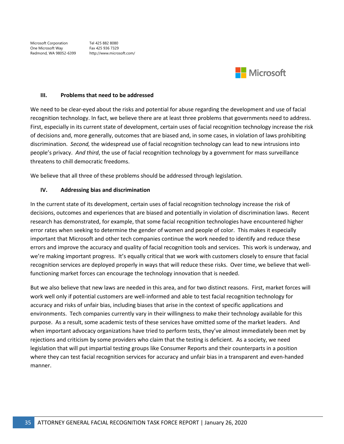Microsoft Corporation Tel 425 882 8080 One Microsoft Way Fax 425 936 7329<br>Redmond, WA 98052-6399 http://www.microsoft.com/ Redmond, WA 98052-6399



#### **III. Problems that need to be addressed**

We need to be clear-eyed about the risks and potential for abuse regarding the development and use of facial recognition technology. In fact, we believe there are at least three problems that governments need to address. First, especially in its current state of development, certain uses of facial recognition technology increase the risk of decisions and, more generally, outcomes that are biased and, in some cases, in violation of laws prohibiting discrimination. *Second,* the widespread use of facial recognition technology can lead to new intrusions into people's privacy. *And third*, the use of facial recognition technology by a government for mass surveillance threatens to chill democratic freedoms.

We believe that all three of these problems should be addressed through legislation.

#### **IV. Addressing bias and discrimination**

In the current state of its development, certain uses of facial recognition technology increase the risk of decisions, outcomes and experiences that are biased and potentially in violation of discrimination laws. Recent research has demonstrated, for example, that some facial recognition technologies have encountered higher error rates when seeking to determine the gender of women and people of color. This makes it especially important that Microsoft and other tech companies continue the work needed to identify and reduce these errors and improve the accuracy and quality of facial recognition tools and services. This work is underway, and we're making important progress. It's equally critical that we work with customers closely to ensure that facial recognition services are deployed properly in ways that will reduce these risks. Over time, we believe that wellfunctioning market forces can encourage the technology innovation that is needed.

But we also believe that new laws are needed in this area, and for two distinct reasons. First, market forces will work well only if potential customers are well-informed and able to test facial recognition technology for accuracy and risks of unfair bias, including biases that arise in the context of specific applications and environments. Tech companies currently vary in their willingness to make their technology available for this purpose. As a result, some academic tests of these services have omitted some of the market leaders. And when important advocacy organizations have tried to perform tests, they've almost immediately been met by rejections and criticism by some providers who claim that the testing is deficient. As a society, we need legislation that will put impartial testing groups like Consumer Reports and their counterparts in a position where they can test facial recognition services for accuracy and unfair bias in a transparent and even-handed manner.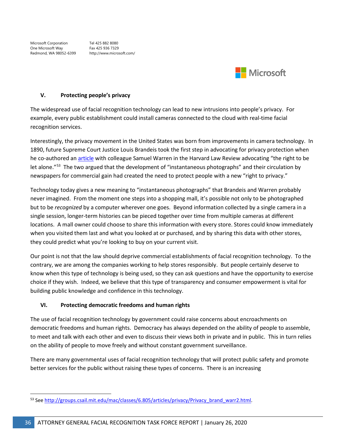Microsoft Corporation Tel 425 882 8080 One Microsoft Way Fax 425 936 7329 Redmond, WA 98052-6399 http://www.microsoft.com/



#### **V. Protecting people's privacy**

The widespread use of facial recognition technology can lead to new intrusions into people's privacy. For example, every public establishment could install cameras connected to the cloud with real-time facial recognition services.

Interestingly, the privacy movement in the United States was born from improvements in camera technology. In 1890, future Supreme Court Justice Louis Brandeis took the first step in advocating for privacy protection when he co-authored an [article](http://groups.csail.mit.edu/mac/classes/6.805/articles/privacy/Privacy_brand_warr2.html) with colleague Samuel Warren in the Harvard Law Review advocating "the right to be let alone."[53](#page-35-0) The two argued that the development of "instantaneous photographs" and their circulation by newspapers for commercial gain had created the need to protect people with a new "right to privacy."

Technology today gives a new meaning to "instantaneous photographs" that Brandeis and Warren probably never imagined. From the moment one steps into a shopping mall, it's possible not only to be photographed but to be *recognized* by a computer wherever one goes. Beyond information collected by a single camera in a single session, longer-term histories can be pieced together over time from multiple cameras at different locations. A mall owner could choose to share this information with every store. Stores could know immediately when you visited them last and what you looked at or purchased, and by sharing this data with other stores, they could predict what you're looking to buy on your current visit.

Our point is not that the law should deprive commercial establishments of facial recognition technology. To the contrary, we are among the companies working to help stores responsibly. But people certainly deserve to know when this type of technology is being used, so they can ask questions and have the opportunity to exercise choice if they wish. Indeed, we believe that this type of transparency and consumer empowerment is vital for building public knowledge and confidence in this technology.

#### **VI. Protecting democratic freedoms and human rights**

The use of facial recognition technology by government could raise concerns about encroachments on democratic freedoms and human rights. Democracy has always depended on the ability of people to assemble, to meet and talk with each other and even to discuss their views both in private and in public. This in turn relies on the ability of people to move freely and without constant government surveillance.

There are many governmental uses of facial recognition technology that will protect public safety and promote better services for the public without raising these types of concerns. There is an increasing

<span id="page-35-0"></span><sup>53</sup> Se[e http://groups.csail.mit.edu/mac/classes/6.805/articles/privacy/Privacy\\_brand\\_warr2.html.](http://groups.csail.mit.edu/mac/classes/6.805/articles/privacy/Privacy_brand_warr2.html)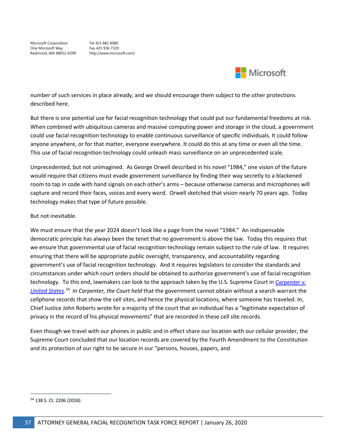Microsoft Corporation Tel 425 882 8080 One Microsoft Way Fax 425 936 7329 Redmond, WA 98052-6399 http://www.microsoft.com/



number of such services in place already, and we should encourage them subject to the other protections described here.

But there is one potential use for facial recognition technology that could put our fundamental freedoms at risk. When combined with ubiquitous cameras and massive computing power and storage in the cloud, a government could use facial recognition technology to enable continuous surveillance of specific individuals. It could follow anyone anywhere, or for that matter, everyone everywhere. It could do this at any time or even all the time. This use of facial recognition technology could unleash mass surveillance on an unprecedented scale.

Unprecedented, but not unimagined. As George Orwell described in his novel "1984," one vision of the future would require that citizens must evade government surveillance by finding their way secretly to a blackened room to tap in code with hand signals on each other's arms – because otherwise cameras and microphones will capture and record their faces, voices and every word. Orwell sketched that vision nearly 70 years ago. Today technology makes that type of future possible.

#### But not inevitable.

We must ensure that the year 2024 doesn't look like a page from the novel "1984." An indispensable democratic principle has always been the tenet that no government is above the law. Today this requires that we ensure that governmental use of facial recognition technology remain subject to the rule of law. It requires ensuring that there will be appropriate public oversight, transparency, and accountability regarding government's use of facial recognition technology. And it requires legislators to consider the standards and circumstances under which court orders should be obtained to authorize government's use of facial recognition technology. To this end, lawmakers can look to the approach taken by the U.S. Supreme Court in *[Carpenter v.](https://www.supremecourt.gov/opinions/17pdf/16-402_h315.pdf)  [United States.](https://www.supremecourt.gov/opinions/17pdf/16-402_h315.pdf)* [54](#page-36-0) *In Carpenter, the Court held* that the government cannot obtain without a search warrant the cellphone records that show the cell sites, and hence the physical locations, where someone has traveled. In, Chief Justice John Roberts wrote for a majority of the court that an individual has a "legitimate expectation of privacy in the record of his physical movements" that are recorded in these cell site records.

Even though we travel with our phones in public and in effect share our location with our cellular provider, the Supreme Court concluded that our location records are covered by the Fourth Amendment to the Constitution and its protection of our right to be secure in our "persons, houses, papers, and

<span id="page-36-0"></span> <sup>54</sup> 138 S. Ct. 2206 (2018).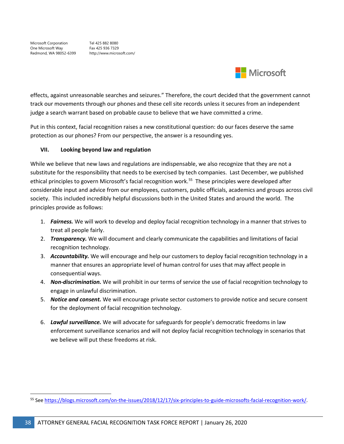

effects, against unreasonable searches and seizures." Therefore, the court decided that the government cannot track our movements through our phones and these cell site records unless it secures from an independent judge a search warrant based on probable cause to believe that we have committed a crime.

Put in this context, facial recognition raises a new constitutional question: do our faces deserve the same protection as our phones? From our perspective, the answer is a resounding yes.

#### **VII. Looking beyond law and regulation**

While we believe that new laws and regulations are indispensable, we also recognize that they are not a substitute for the responsibility that needs to be exercised by tech companies. Last December, we published ethical principles to govern Microsoft's facial recognition work.<sup>55</sup> These principles were developed after considerable input and advice from our employees, customers, public officials, academics and groups across civil society. This included incredibly helpful discussions both in the United States and around the world. The principles provide as follows:

- 1. *Fairness.* We will work to develop and deploy facial recognition technology in a manner that strives to treat all people fairly.
- 2. *Transparency.* We will document and clearly communicate the capabilities and limitations of facial recognition technology.
- 3. *Accountability.* We will encourage and help our customers to deploy facial recognition technology in a manner that ensures an appropriate level of human control for uses that may affect people in consequential ways.
- 4. *Non-discrimination.* We will prohibit in our terms of service the use of facial recognition technology to engage in unlawful discrimination.
- 5. *Notice and consent.* We will encourage private sector customers to provide notice and secure consent for the deployment of facial recognition technology.
- 6. *Lawful surveillance.* We will advocate for safeguards for people's democratic freedoms in law enforcement surveillance scenarios and will not deploy facial recognition technology in scenarios that we believe will put these freedoms at risk.

<span id="page-37-0"></span> <sup>55</sup> Se[e https://blogs.microsoft.com/on-the-issues/2018/12/17/six-principles-to-guide-microsofts-facial-recognition-work/.](https://blogs.microsoft.com/on-the-issues/2018/12/17/six-principles-to-guide-microsofts-facial-recognition-work/)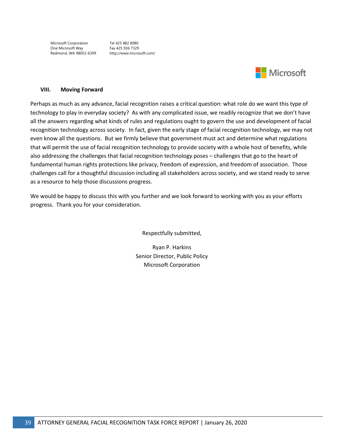Microsoft Corporation Tel 425 882 8080 One Microsoft Way Fax 425 936 7329<br>Redmond, WA 98052-6399 http://www.microsoft.com/ Redmond, WA 98052-6399



#### **VIII. Moving Forward**

Perhaps as much as any advance, facial recognition raises a critical question: what role do we want this type of technology to play in everyday society? As with any complicated issue, we readily recognize that we don't have all the answers regarding what kinds of rules and regulations ought to govern the use and development of facial recognition technology across society. In fact, given the early stage of facial recognition technology, we may not even know all the questions. But we firmly believe that government must act and determine what regulations that will permit the use of facial recognition technology to provide society with a whole host of benefits, while also addressing the challenges that facial recognition technology poses – challenges that go to the heart of fundamental human rights protections like privacy, freedom of expression, and freedom of association. Those challenges call for a thoughtful discussion including all stakeholders across society, and we stand ready to serve as a resource to help those discussions progress.

We would be happy to discuss this with you further and we look forward to working with you as your efforts progress. Thank you for your consideration.

Respectfully submitted,

Ryan P. Harkins Senior Director, Public Policy Microsoft Corporation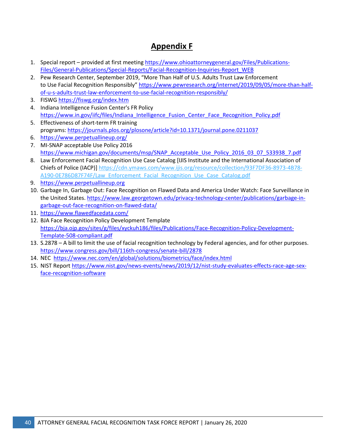# **Appendix F**

- 1. Special report provided at first meeting [https://www.ohioattorneygeneral.gov/Files/Publications-](https://www.ohioattorneygeneral.gov/Files/Publications-Files/General-Publications/Special-Reports/Facial-Recognition-Inquiries-Report_WEB)[Files/General-Publications/Special-Reports/Facial-Recognition-Inquiries-Report\\_WEB](https://www.ohioattorneygeneral.gov/Files/Publications-Files/General-Publications/Special-Reports/Facial-Recognition-Inquiries-Report_WEB)
- 2. Pew Research Center, September 2019, "More Than Half of U.S. Adults Trust Law Enforcement to Use Facial Recognition Responsibly" [https://www.pewresearch.org/internet/2019/09/05/more-than-half](https://www.pewresearch.org/internet/2019/09/05/more-than-half-of-u-s-adults-trust-law-enforcement-to-use-facial-recognition-responsibly/)[of-u-s-adults-trust-law-enforcement-to-use-facial-recognition-responsibly/](https://www.pewresearch.org/internet/2019/09/05/more-than-half-of-u-s-adults-trust-law-enforcement-to-use-facial-recognition-responsibly/)
- 3. FISWG<https://fiswg.org/index.htm>
- 4. Indiana Intelligence Fusion Center's FR Policy [https://www.in.gov/iifc/files/Indiana\\_Intelligence\\_Fusion\\_Center\\_Face\\_Recognition\\_Policy.pdf](https://www.in.gov/iifc/files/Indiana_Intelligence_Fusion_Center_Face_Recognition_Policy.pdf)
- 5. Effectiveness of short-term FR training
- programs: <https://journals.plos.org/plosone/article?id=10.1371/journal.pone.0211037>
- 6. <https://www.perpetuallineup.org/>
- 7. MI-SNAP acceptable Use Policy 2016 [https://www.michigan.gov/documents/msp/SNAP\\_Acceptable\\_Use\\_Policy\\_2016\\_03\\_07\\_533938\\_7.pdf](https://www.michigan.gov/documents/msp/SNAP_Acceptable_Use_Policy_2016_03_07_533938_7.pdf)
- 8. Law Enforcement Facial Recognition Use Case Catalog [IJIS Institute and the International Association of Chiefs of Police (IACP)] [https://cdn.ymaws.com/www.ijis.org/resource/collection/93F7DF36-8973-4B78-](https://cdn.ymaws.com/www.ijis.org/resource/collection/93F7DF36-8973-4B78-A190-0E786D87F74F/Law_Enforcement_Facial_Recognition_Use_Case_Catalog.pdf) [A190-0E786D87F74F/Law\\_Enforcement\\_Facial\\_Recognition\\_Use\\_Case\\_Catalog.pdf](https://cdn.ymaws.com/www.ijis.org/resource/collection/93F7DF36-8973-4B78-A190-0E786D87F74F/Law_Enforcement_Facial_Recognition_Use_Case_Catalog.pdf)
- 9. [https://www.perpetuallineup.org](https://www.perpetuallineup.org/)
- 10. Garbage In, Garbage Out: Face Recognition on Flawed Data and America Under Watch: Face Surveillance in the United States. [https://www.law.georgetown.edu/privacy-technology-center/publications/garbage-in](https://www.law.georgetown.edu/privacy-technology-center/publications/garbage-in-garbage-out-face-recognition-on-flawed-data/)[garbage-out-face-recognition-on-flawed-data/](https://www.law.georgetown.edu/privacy-technology-center/publications/garbage-in-garbage-out-face-recognition-on-flawed-data/)
- 11. <https://www.flawedfacedata.com/>
- 12. BJA Face Recognition Policy Development Template [https://bja.ojp.gov/sites/g/files/xyckuh186/files/Publications/Face-Recognition-Policy-Development-](https://bja.ojp.gov/sites/g/files/xyckuh186/files/Publications/Face-Recognition-Policy-Development-Template-508-compliant.pdf)[Template-508-compliant.pdf](https://bja.ojp.gov/sites/g/files/xyckuh186/files/Publications/Face-Recognition-Policy-Development-Template-508-compliant.pdf)
- 13. S.2878 A bill to limit the use of facial recognition technology by Federal agencies, and for other purposes. <https://www.congress.gov/bill/116th-congress/senate-bill/2878>
- 14. NEC <https://www.nec.com/en/global/solutions/biometrics/face/index.html>
- 15. NIST Report [https://www.nist.gov/news-events/news/2019/12/nist-study-evaluates-effects-race-age-sex](https://www.nist.gov/news-events/news/2019/12/nist-study-evaluates-effects-race-age-sex-face-recognition-software)[face-recognition-software](https://www.nist.gov/news-events/news/2019/12/nist-study-evaluates-effects-race-age-sex-face-recognition-software)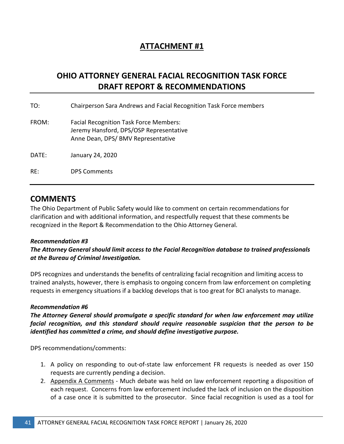# **ATTACHMENT #1**

# **OHIO ATTORNEY GENERAL FACIAL RECOGNITION TASK FORCE DRAFT REPORT & RECOMMENDATIONS**

| TO:   | Chairperson Sara Andrews and Facial Recognition Task Force members                                                             |
|-------|--------------------------------------------------------------------------------------------------------------------------------|
| FROM: | <b>Facial Recognition Task Force Members:</b><br>Jeremy Hansford, DPS/OSP Representative<br>Anne Dean, DPS/ BMV Representative |
| DATE: | January 24, 2020                                                                                                               |
| RE:   | <b>DPS Comments</b>                                                                                                            |

# **COMMENTS**

The Ohio Department of Public Safety would like to comment on certain recommendations for clarification and with additional information, and respectfully request that these comments be recognized in the Report & Recommendation to the Ohio Attorney General.

#### *Recommendation #3*

*The Attorney General should limit access to the Facial Recognition database to trained professionals at the Bureau of Criminal Investigation.* 

DPS recognizes and understands the benefits of centralizing facial recognition and limiting access to trained analysts, however, there is emphasis to ongoing concern from law enforcement on completing requests in emergency situations if a backlog develops that is too great for BCI analysts to manage.

## *Recommendation #6*

*The Attorney General should promulgate a specific standard for when law enforcement may utilize facial recognition, and this standard should require reasonable suspicion that the person to be identified has committed a crime, and should define investigative purpose.* 

DPS recommendations/comments:

- 1. A policy on responding to out-of-state law enforcement FR requests is needed as over 150 requests are currently pending a decision.
- 2. Appendix A Comments Much debate was held on law enforcement reporting a disposition of each request. Concerns from law enforcement included the lack of inclusion on the disposition of a case once it is submitted to the prosecutor. Since facial recognition is used as a tool for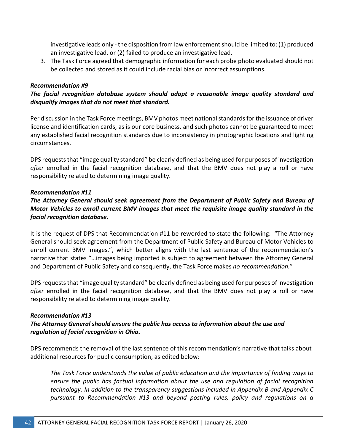investigative leads only - the disposition from law enforcement should be limited to: (1) produced an investigative lead, or (2) failed to produce an investigative lead.

3. The Task Force agreed that demographic information for each probe photo evaluated should not be collected and stored as it could include racial bias or incorrect assumptions.

#### *Recommendation #9*

## *The facial recognition database system should adopt a reasonable image quality standard and disqualify images that do not meet that standard.*

Per discussion in the Task Force meetings, BMV photos meet national standards for the issuance of driver license and identification cards, as is our core business, and such photos cannot be guaranteed to meet any established facial recognition standards due to inconsistency in photographic locations and lighting circumstances.

DPS requests that "image quality standard" be clearly defined as being used for purposes of investigation *after* enrolled in the facial recognition database, and that the BMV does not play a roll or have responsibility related to determining image quality.

#### *Recommendation #11*

## *The Attorney General should seek agreement from the Department of Public Safety and Bureau of Motor Vehicles to enroll current BMV images that meet the requisite image quality standard in the facial recognition database.*

It is the request of DPS that Recommendation #11 be reworded to state the following: "The Attorney General should seek agreement from the Department of Public Safety and Bureau of Motor Vehicles to enroll current BMV images.", which better aligns with the last sentence of the recommendation's narrative that states "…images being imported is subject to agreement between the Attorney General and Department of Public Safety and consequently, the Task Force makes *no recommendation.*"

DPS requests that "image quality standard" be clearly defined as being used for purposes of investigation *after* enrolled in the facial recognition database, and that the BMV does not play a roll or have responsibility related to determining image quality.

#### *Recommendation #13*

### *The Attorney General should ensure the public has access to information about the use and regulation of facial recognition in Ohio.*

DPS recommends the removal of the last sentence of this recommendation's narrative that talks about additional resources for public consumption, as edited below:

*The Task Force understands the value of public education and the importance of finding ways to ensure the public has factual information about the use and regulation of facial recognition technology. In addition to the transparency suggestions included in Appendix B and Appendix C pursuant to Recommendation #13 and beyond posting rules, policy and regulations on a*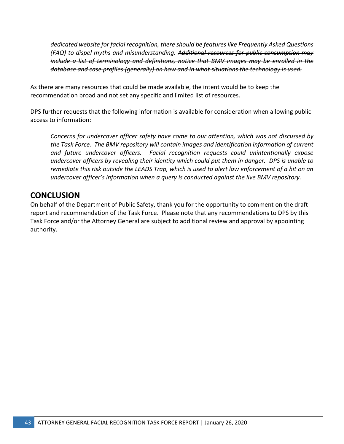*dedicated website for facial recognition, there should be features like Frequently Asked Questions (FAQ) to dispel myths and misunderstanding. Additional resources for public consumption may include a list of terminology and definitions, notice that BMV images may be enrolled in the database and case profiles (generally) on how and in what situations the technology is used.* 

As there are many resources that could be made available, the intent would be to keep the recommendation broad and not set any specific and limited list of resources.

DPS further requests that the following information is available for consideration when allowing public access to information:

*Concerns for undercover officer safety have come to our attention, which was not discussed by the Task Force. The BMV repository will contain images and identification information of current and future undercover officers. Facial recognition requests could unintentionally expose undercover officers by revealing their identity which could put them in danger. DPS is unable to remediate this risk outside the LEADS Trap, which is used to alert law enforcement of a hit on an undercover officer's information when a query is conducted against the live BMV repository.* 

# **CONCLUSION**

On behalf of the Department of Public Safety, thank you for the opportunity to comment on the draft report and recommendation of the Task Force. Please note that any recommendations to DPS by this Task Force and/or the Attorney General are subject to additional review and approval by appointing authority.